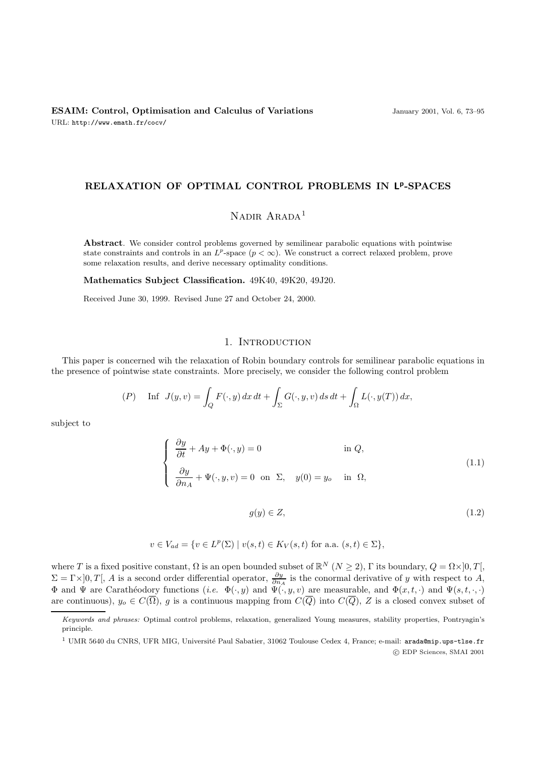## **RELAXATION OF OPTIMAL CONTROL PROBLEMS IN Lp-SPACES**

# NADIR ARADA<sup>1</sup>

**Abstract**. We consider control problems governed by semilinear parabolic equations with pointwise state constraints and controls in an  $L^p$ -space ( $p < \infty$ ). We construct a correct relaxed problem, prove some relaxation results, and derive necessary optimality conditions.

**Mathematics Subject Classification.** 49K40, 49K20, 49J20.

Received June 30, 1999. Revised June 27 and October 24, 2000.

## 1. INTRODUCTION

This paper is concerned wih the relaxation of Robin boundary controls for semilinear parabolic equations in the presence of pointwise state constraints. More precisely, we consider the following control problem

$$
(P) \quad \text{Inf} \quad J(y,v) = \int_Q F(\cdot,y) \, dx \, dt + \int_\Sigma G(\cdot,y,v) \, ds \, dt + \int_\Omega L(\cdot,y(T)) \, dx,
$$

subject to

$$
\begin{cases}\n\frac{\partial y}{\partial t} + Ay + \Phi(\cdot, y) = 0 & \text{in } Q, \\
\frac{\partial y}{\partial n_A} + \Psi(\cdot, y, v) = 0 & \text{on } \Sigma, \quad y(0) = y_o & \text{in } \Omega,\n\end{cases}
$$
\n(1.1)

 $g(y) \in Z,$  (1.2)

$$
v \in V_{ad} = \{ v \in L^p(\Sigma) \mid v(s,t) \in K_V(s,t) \text{ for a.a. } (s,t) \in \Sigma \},
$$

where T is a fixed positive constant,  $\Omega$  is an open bounded subset of  $\mathbb{R}^N$   $(N \geq 2)$ ,  $\Gamma$  its boundary,  $Q = \Omega \times ]0, T[$ ,  $\Sigma = \Gamma \times ]0, T[$ , A is a second order differential operator,  $\frac{\partial y}{\partial n_A}$  is the conormal derivative of y with respect to A,  $\Phi$  and  $\Psi$  are Carathéodory functions (i.e.  $\Phi(\cdot, y)$  and  $\Psi(\cdot, y, v)$  are measurable, and  $\Phi(x, t, \cdot)$  and  $\Psi(s, t, \cdot, \cdot)$ are continuous),  $y_o \in C(\overline{\Omega})$ , g is a continuous mapping from  $C(\overline{Q})$  into  $C(\overline{Q})$ , Z is a closed convex subset of

Keywords and phrases: Optimal control problems, relaxation, generalized Young measures, stability properties, Pontryagin's principle.

 $1$  UMR 5640 du CNRS, UFR MIG, Université Paul Sabatier, 31062 Toulouse Cedex 4, France; e-mail: arada@mip.ups-tlse.fr c EDP Sciences, SMAI 2001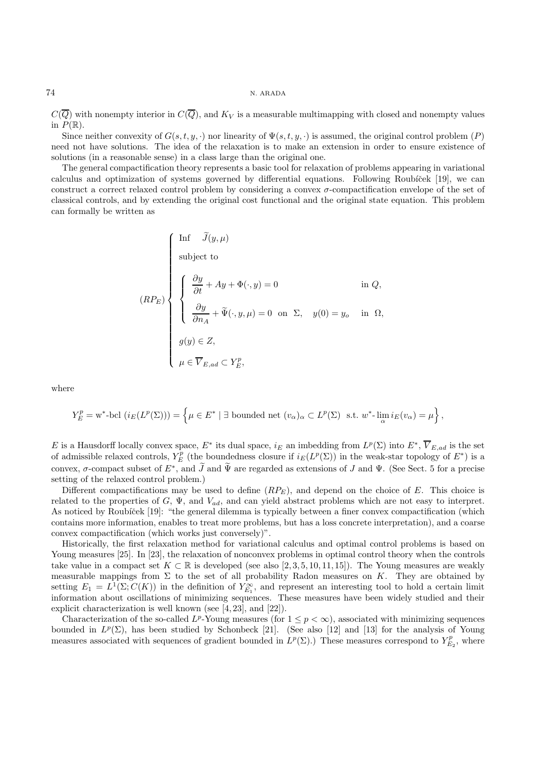$C(\overline{Q})$  with nonempty interior in  $C(\overline{Q})$ , and  $K_V$  is a measurable multimapping with closed and nonempty values in  $P(\mathbb{R})$ .

Since neither convexity of  $G(s, t, y, \cdot)$  nor linearity of  $\Psi(s, t, y, \cdot)$  is assumed, the original control problem  $(P)$ need not have solutions. The idea of the relaxation is to make an extension in order to ensure existence of solutions (in a reasonable sense) in a class large than the original one.

The general compactification theory represents a basic tool for relaxation of problems appearing in variational calculus and optimization of systems governed by differential equations. Following Roubícek [19], we can construct a correct relaxed control problem by considering a convex  $\sigma$ -compactification envelope of the set of classical controls, and by extending the original cost functional and the original state equation. This problem can formally be written as

$$
(RP_E)
$$
\n
$$
\begin{cases}\n\text{Inf } \tilde{J}(y,\mu) \\
\text{subject to} \\
\begin{cases}\n\frac{\partial y}{\partial t} + Ay + \Phi(\cdot, y) = 0 \\
\frac{\partial y}{\partial n_A} + \tilde{\Psi}(\cdot, y, \mu) = 0 \text{ on } \Sigma, & y(0) = y_o \text{ in } \Omega, \\
g(y) \in Z, \\
\mu \in \overline{V}_{E, ad} \subset Y_E^p,\n\end{cases}\n\end{cases}
$$

where

$$
Y_E^p = \mathbf{w}^* \text{-bcl} \left( i_E(L^p(\Sigma)) \right) = \left\{ \mu \in E^* \mid \exists \text{ bounded net } (v_\alpha)_\alpha \subset L^p(\Sigma) \text{ s.t. } \mathbf{w}^* \text{-}\lim_{\alpha} i_E(v_\alpha) = \mu \right\},
$$

E is a Hausdorff locally convex space,  $E^*$  its dual space,  $i_E$  an imbedding from  $L^p(\Sigma)$  into  $E^*, \overline{V}_{E,ad}$  is the set of admissible relaxed controls,  $Y_E^p$  (the boundedness closure if  $i_E(L^p(\Sigma))$  in the weak-star topology of  $E^*$ ) is a convex,  $\sigma$ -compact subset of  $E^*$ , and  $J$  and  $\Psi$  are regarded as extensions of  $J$  and  $\Psi$ . (See Sect. 5 for a precise setting of the relaxed control problem.)

Different compactifications may be used to define  $(RP_E)$ , and depend on the choice of E. This choice is related to the properties of G,  $\Psi$ , and  $V_{ad}$ , and can yield abstract problems which are not easy to interpret. As noticed by Roubíček [19]: "the general dilemma is typically between a finer convex compactification (which contains more information, enables to treat more problems, but has a loss concrete interpretation), and a coarse convex compactification (which works just conversely)".

Historically, the first relaxation method for variational calculus and optimal control problems is based on Young measures [25]. In [23], the relaxation of nonconvex problems in optimal control theory when the controls take value in a compact set  $K \subset \mathbb{R}$  is developed (see also [2, 3, 5, 10, 11, 15]). The Young measures are weakly measurable mappings from  $\Sigma$  to the set of all probability Radon measures on K. They are obtained by setting  $E_1 = L^1(\Sigma; C(K))$  in the definition of  $Y_{E_1}^{\infty}$ , and represent an interesting tool to hold a certain limit information about oscillations of minimizing sequences. These measures have been widely studied and their explicit characterization is well known (see [4, 23], and [22]).

Characterization of the so-called  $L^p$ -Young measures (for  $1 \leq p < \infty$ ), associated with minimizing sequences bounded in  $L^p(\Sigma)$ , has been studied by Schonbeck [21]. (See also [12] and [13] for the analysis of Young measures associated with sequences of gradient bounded in  $L^p(\Sigma)$ .) These measures correspond to  $Y_{E_2}^p$ , where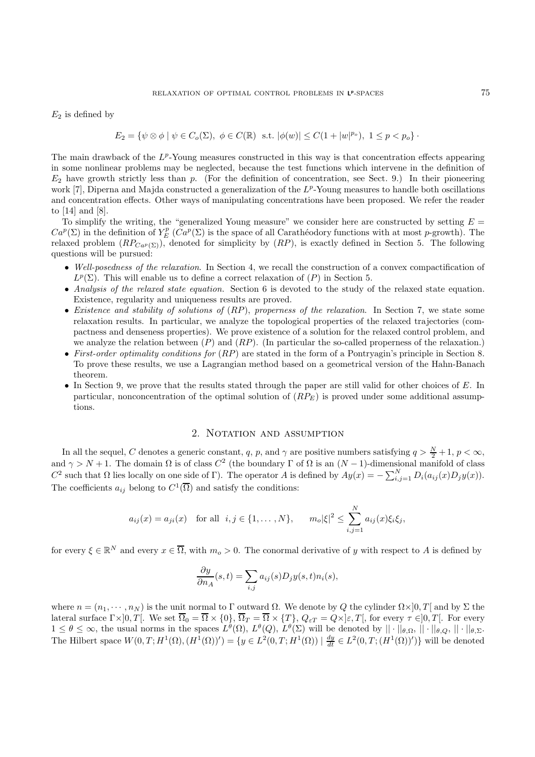$E_2$  is defined by

$$
E_2 = \{ \psi \otimes \phi \mid \psi \in C_o(\Sigma), \ \phi \in C(\mathbb{R}) \ \text{ s.t. } |\phi(w)| \le C(1+|w|^{p_o}), \ 1 \le p < p_o \}.
$$

The main drawback of the  $L^p$ -Young measures constructed in this way is that concentration effects appearing in some nonlinear problems may be neglected, because the test functions which intervene in the definition of  $E_2$  have growth strictly less than p. (For the definition of concentration, see Sect. 9.) In their pioneering work  $[7]$ , Diperna and Majda constructed a generalization of the  $L^p$ -Young measures to handle both oscillations and concentration effects. Other ways of manipulating concentrations have been proposed. We refer the reader to [14] and [8].

To simplify the writing, the "generalized Young measure" we consider here are constructed by setting  $E =$  $Ca^p(\Sigma)$  in the definition of  $Y_E^p$  ( $Ca^p(\Sigma)$  is the space of all Carathéodory functions with at most p-growth). The relaxed problem  $(RP_{Cap(\Sigma)})$ , denoted for simplicity by  $(RP)$ , is exactly defined in Section 5. The following questions will be pursued:

- Well-posedness of the relaxation. In Section 4, we recall the construction of a convex compactification of  $L^p(\Sigma)$ . This will enable us to define a correct relaxation of  $(P)$  in Section 5.
- Analysis of the relaxed state equation. Section 6 is devoted to the study of the relaxed state equation. Existence, regularity and uniqueness results are proved.
- Existence and stability of solutions of  $(RP)$ , properness of the relaxation. In Section 7, we state some relaxation results. In particular, we analyze the topological properties of the relaxed trajectories (compactness and denseness properties). We prove existence of a solution for the relaxed control problem, and we analyze the relation between  $(P)$  and  $(RP)$ . (In particular the so-called properness of the relaxation.)
- First-order optimality conditions for  $(RP)$  are stated in the form of a Pontryagin's principle in Section 8. To prove these results, we use a Lagrangian method based on a geometrical version of the Hahn-Banach theorem.
- In Section 9, we prove that the results stated through the paper are still valid for other choices of E. In particular, nonconcentration of the optimal solution of  $(RP<sub>E</sub>)$  is proved under some additional assumptions.

# 2. NOTATION AND ASSUMPTION

In all the sequel, C denotes a generic constant, q, p, and  $\gamma$  are positive numbers satisfying  $q > \frac{N}{2} + 1$ ,  $p < \infty$ , and  $\gamma > N + 1$ . The domain  $\Omega$  is of class  $C^2$  (the boundary  $\Gamma$  of  $\Omega$  is an  $(N - 1)$ -dimensional manifold of class C<sup>2</sup> such that Ω lies locally on one side of Γ). The operator A is defined by  $Ay(x) = -\sum_{i,j=1}^{N} D_i(a_{ij}(x)D_jy(x))$ . The coefficients  $a_{ij}$  belong to  $C^1(\overline{\Omega})$  and satisfy the conditions:

$$
a_{ij}(x) = a_{ji}(x)
$$
 for all  $i, j \in \{1, ..., N\}$ ,  $m_o|\xi|^2 \le \sum_{i,j=1}^N a_{ij}(x)\xi_i\xi_j$ ,

for every  $\xi \in \mathbb{R}^N$  and every  $x \in \overline{\Omega}$ , with  $m_o > 0$ . The conormal derivative of y with respect to A is defined by

$$
\frac{\partial y}{\partial n_A}(s,t) = \sum_{i,j} a_{ij}(s) D_j y(s,t) n_i(s),
$$

where  $n = (n_1, \dots, n_N)$  is the unit normal to Γ outward  $\Omega$ . We denote by Q the cylinder  $\Omega \times ]0, T[$  and by  $\Sigma$  the lateral surface  $\Gamma \times ]0, T[$ . We set  $\overline{\Omega}_0 = \overline{\Omega} \times \{0\}$ ,  $\overline{\Omega}_T = \overline{\Omega} \times \{T\}$ ,  $Q_{\varepsilon T} = Q \times ]\varepsilon, T[$ , for every  $\tau \in ]0, T[$ . For every  $1 \leq \theta \leq \infty$ , the usual norms in the spaces  $L^{\theta}(\Omega)$ ,  $L^{\theta}(Q)$ ,  $L^{\theta}(\Sigma)$  will be denoted by  $||\cdot||_{\theta,\Omega}$ ,  $||\cdot||_{\theta,Q}$ ,  $||\cdot||_{\theta,\Sigma}$ . The Hilbert space  $W(0, T; H^{1}(\Omega), (H^{1}(\Omega))') = \{y \in L^{2}(0, T; H^{1}(\Omega)) \mid \frac{dy}{dt} \in L^{2}(0, T; (H^{1}(\Omega))')\}$  will be denoted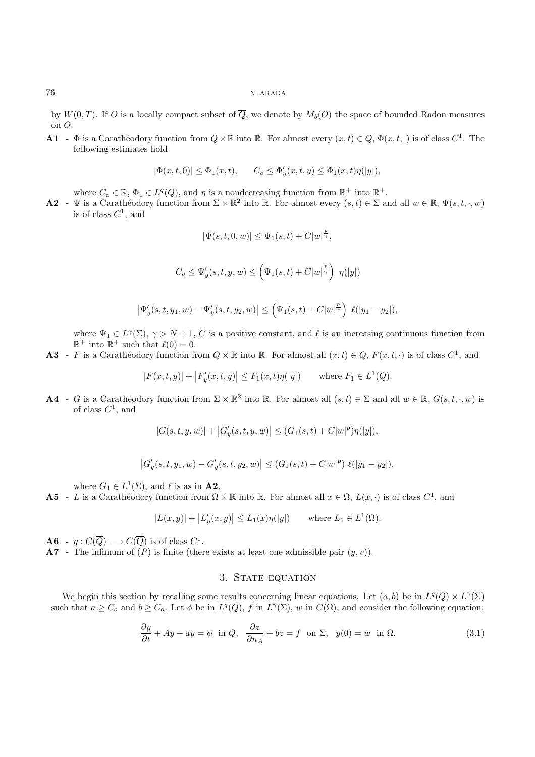by  $W(0,T)$ . If O is a locally compact subset of  $\overline{Q}$ , we denote by  $M_b(O)$  the space of bounded Radon measures on O.

**A1** -  $\Phi$  is a Carathéodory function from  $Q \times \mathbb{R}$  into  $\mathbb{R}$ . For almost every  $(x, t) \in Q$ ,  $\Phi(x, t, \cdot)$  is of class  $C^1$ . The following estimates hold

$$
|\Phi(x,t,0)| \le \Phi_1(x,t), \qquad C_o \le \Phi_y'(x,t,y) \le \Phi_1(x,t)\eta(|y|),
$$

where  $C_0 \in \mathbb{R}, \Phi_1 \in L^q(Q)$ , and  $\eta$  is a nondecreasing function from  $\mathbb{R}^+$  into  $\mathbb{R}^+$ .

**A2** - Ψ is a Carathéodory function from  $\Sigma \times \mathbb{R}^2$  into R. For almost every  $(s,t) \in \Sigma$  and all  $w \in \mathbb{R}$ ,  $\Psi(s,t,\cdot,w)$ is of class  $C^1$ , and

$$
|\Psi(s,t,0,w)| \leq \Psi_1(s,t) + C|w|^{\frac{p}{\gamma}},
$$

$$
C_o \leq \Psi_y'(s, t, y, w) \leq \left(\Psi_1(s, t) + C|w|^{\frac{p}{\gamma}}\right) \eta(|y|)
$$

$$
\left|\Psi_y'(s,t,y_1,w)-\Psi_y'(s,t,y_2,w)\right|\leq \left(\Psi_1(s,t)+C|w|^{\frac{p}{\gamma}}\right)\,\ell(|y_1-y_2|),
$$

where  $\Psi_1 \in L^{\gamma}(\Sigma)$ ,  $\gamma > N + 1$ , C is a positive constant, and  $\ell$  is an increasing continuous function from  $\mathbb{R}^+$  into  $\mathbb{R}^+$  such that  $\ell(0) = 0$ .

**A3** - F is a Carathéodory function from  $Q \times \mathbb{R}$  into  $\mathbb{R}$ . For almost all  $(x, t) \in Q$ ,  $F(x, t, \cdot)$  is of class  $C^1$ , and

$$
|F(x,t,y)| + |F'_y(x,t,y)| \le F_1(x,t)\eta(|y|)
$$
 where  $F_1 \in L^1(Q)$ .

**A4** - G is a Carathéodory function from  $\Sigma \times \mathbb{R}^2$  into R. For almost all  $(s, t) \in \Sigma$  and all  $w \in \mathbb{R}$ ,  $G(s, t, \cdot, w)$  is of class  $C^1$ , and

$$
|G(s,t,y,w)| + |G'_{y}(s,t,y,w)| \leq (G_1(s,t) + C|w|^p)\eta(|y|),
$$

$$
\left|G'_y(s,t,y_1,w)-G'_y(s,t,y_2,w)\right|\leq (G_1(s,t)+C|w|^p)\,\ell(|y_1-y_2|),
$$

where  $G_1 \in L^1(\Sigma)$ , and  $\ell$  is as in **A2**.

**A5** - L is a Carathéodory function from  $\Omega \times \mathbb{R}$  into  $\mathbb{R}$ . For almost all  $x \in \Omega$ ,  $L(x, \cdot)$  is of class  $C^1$ , and

$$
|L(x, y)| + |L'_y(x, y)| \le L_1(x)\eta(|y|)
$$
 where  $L_1 \in L^1(\Omega)$ .

**A6** -  $q: C(\overline{Q}) \longrightarrow C(\overline{Q})$  is of class  $C^1$ .

**A7** - The infimum of  $(P)$  is finite (there exists at least one admissible pair  $(y, v)$ ).

## 3. STATE EQUATION

We begin this section by recalling some results concerning linear equations. Let  $(a, b)$  be in  $L^q(Q) \times L^{\gamma}(\Sigma)$ such that  $a \geq C_o$  and  $b \geq C_o$ . Let  $\phi$  be in  $L^q(Q)$ , f in  $L^{\gamma}(\Sigma)$ , w in  $C(\overline{\Omega})$ , and consider the following equation:

$$
\frac{\partial y}{\partial t} + Ay + ay = \phi \text{ in } Q, \quad \frac{\partial z}{\partial n_A} + bz = f \text{ on } \Sigma, \quad y(0) = w \text{ in } \Omega. \tag{3.1}
$$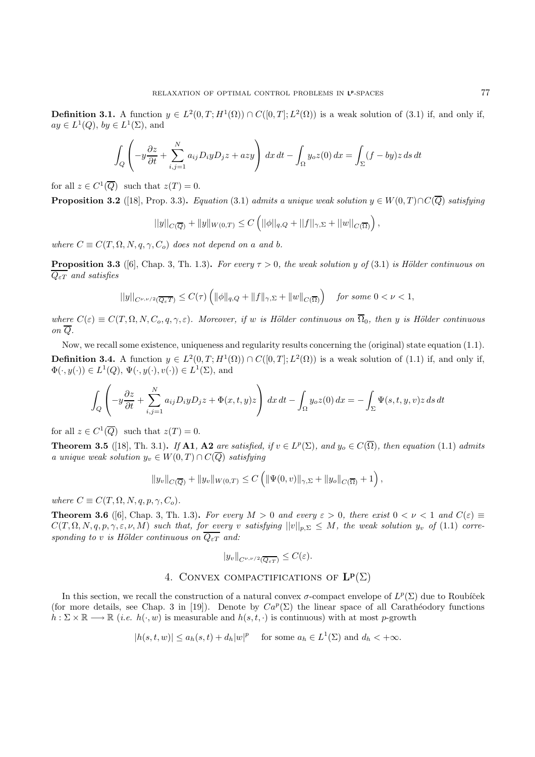**Definition 3.1.** A function  $y \in L^2(0,T;H^1(\Omega)) \cap C([0,T];L^2(\Omega))$  is a weak solution of (3.1) if, and only if,  $ay \in L^1(Q)$ ,  $by \in L^1(\Sigma)$ , and

$$
\int_{Q} \left( -y \frac{\partial z}{\partial t} + \sum_{i,j=1}^{N} a_{ij} D_{i} y D_{j} z + a z y \right) dx dt - \int_{\Omega} y_{o} z(0) dx = \int_{\Sigma} (f - by) z ds dt
$$

for all  $z \in C^1(\overline{Q})$  such that  $z(T) = 0$ .

**Proposition 3.2** ([18], Prop. 3.3)**.** Equation (3.1) admits a unique weak solution  $y \in W(0,T) \cap C(\overline{Q})$  satisfying

$$
||y||_{C(\overline{Q})} + ||y||_{W(0,T)} \leq C \left( ||\phi||_{q,Q} + ||f||_{\gamma,\Sigma} + ||w||_{C(\overline{\Omega})} \right),
$$

where  $C \equiv C(T, \Omega, N, q, \gamma, C_o)$  does not depend on a and b.

**Proposition 3.3** ([6], Chap. 3, Th. 1.3). For every  $\tau > 0$ , the weak solution y of (3.1) is Hölder continuous on  $\overline{Q_{\varepsilon T}}$  and satisfies

$$
||y||_{C^{\nu,\nu/2}(\overline{Q_\varepsilon T})}\leq C(\tau)\left(||\phi||_{q,Q}+||f||_{\gamma,\Sigma}+||w||_{C(\overline{\Omega})}\right)\quad \textit{for some }0<\nu<1,
$$

where  $C(\varepsilon) \equiv C(T, \Omega, N, C_0, q, \gamma, \varepsilon)$ . Moreover, if w is Hölder continuous on  $\overline{\Omega}_0$ , then y is Hölder continuous on Q.

Now, we recall some existence, uniqueness and regularity results concerning the (original) state equation (1.1). **Definition 3.4.** A function  $y \in L^2(0,T;H^1(\Omega)) \cap C([0,T];L^2(\Omega))$  is a weak solution of (1.1) if, and only if,  $\Phi(\cdot, y(\cdot)) \in L^1(Q), \Psi(\cdot, y(\cdot), v(\cdot)) \in L^1(\Sigma)$ , and

$$
\int_{Q} \left( -y \frac{\partial z}{\partial t} + \sum_{i,j=1}^{N} a_{ij} D_{i} y D_{j} z + \Phi(x, t, y) z \right) dx dt - \int_{\Omega} y_{o} z(0) dx = - \int_{\Sigma} \Psi(s, t, y, v) z ds dt
$$

for all  $z \in C^1(\overline{Q})$  such that  $z(T) = 0$ .

**Theorem 3.5** ([18], Th. 3.1)**.** If **A1**, **A2** are satisfied, if  $v \in L^p(\Sigma)$ , and  $y_o \in C(\overline{\Omega})$ , then equation (1.1) admits a unique weak solution  $y_v \in W(0,T) \cap C(\overline{Q})$  satisfying

$$
||y_v||_{C(\overline{Q})} + ||y_v||_{W(0,T)} \leq C \left( ||\Psi(0,v)||_{\gamma,\Sigma} + ||y_o||_{C(\overline{\Omega})} + 1 \right),
$$

where  $C \equiv C(T, \Omega, N, q, p, \gamma, C_o)$ .

**Theorem 3.6** ([6], Chap. 3, Th. 1.3). For every  $M > 0$  and every  $\varepsilon > 0$ , there exist  $0 < \nu < 1$  and  $C(\varepsilon) \equiv$  $C(T, \Omega, N, q, p, \gamma, \varepsilon, \nu, M)$  such that, for every v satisfying  $||v||_{p,\Sigma} \leq M$ , the weak solution  $y_v$  of (1.1) corresponding to v is Hölder continuous on  $\overline{Q_{\varepsilon T}}$  and:

$$
|y_v\|_{C^{\nu,\nu/2}(\overline{Q_{\varepsilon T}})} \leq C(\varepsilon).
$$

# 4. Convex compactifications of **L<sup>p</sup>**(Σ)

In this section, we recall the construction of a natural convex  $\sigma$ -compact envelope of  $L^p(\Sigma)$  due to Roubíček (for more details, see Chap. 3 in [19]). Denote by  $Ca^p(\Sigma)$  the linear space of all Carathéodory functions  $h : \Sigma \times \mathbb{R} \longrightarrow \mathbb{R}$  (*i.e.*  $h(\cdot, w)$  is measurable and  $h(s, t, \cdot)$  is continuous) with at most p-growth

$$
|h(s,t,w)| \le a_h(s,t) + d_h|w|^p \quad \text{ for some } a_h \in L^1(\Sigma) \text{ and } d_h < +\infty.
$$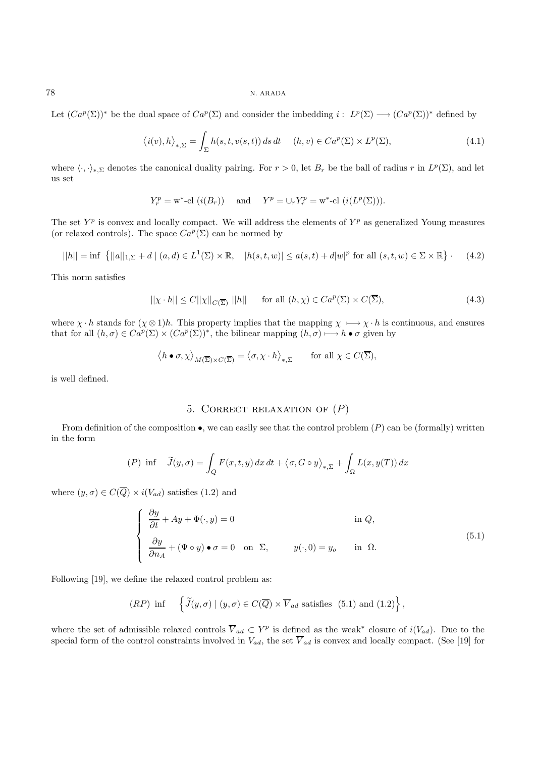Let  $(Ca^p(\Sigma))^*$  be the dual space of  $Ca^p(\Sigma)$  and consider the imbedding  $i: L^p(\Sigma) \longrightarrow (Ca^p(\Sigma))^*$  defined by

$$
\langle i(v), h \rangle_{*,\Sigma} = \int_{\Sigma} h(s, t, v(s, t)) ds dt \quad (h, v) \in Ca^p(\Sigma) \times L^p(\Sigma), \tag{4.1}
$$

where  $\langle \cdot, \cdot \rangle_{*,\Sigma}$  denotes the canonical duality pairing. For  $r > 0$ , let  $B_r$  be the ball of radius r in  $L^p(\Sigma)$ , and let us set

$$
Y_r^p = \mathbf{w}^* \text{-}\mathrm{cl} \ (i(B_r)) \quad \text{ and } \quad Y^p = \cup_r Y_r^p = \mathbf{w}^* \text{-}\mathrm{cl} \ (i(L^p(\Sigma))).
$$

The set  $Y^p$  is convex and locally compact. We will address the elements of  $Y^p$  as generalized Young measures (or relaxed controls). The space  $Ca^p(\Sigma)$  can be normed by

$$
||h|| = \inf \{ ||a||_{1,\Sigma} + d \mid (a,d) \in L^{1}(\Sigma) \times \mathbb{R}, \quad |h(s,t,w)| \le a(s,t) + d|w|^{p} \text{ for all } (s,t,w) \in \Sigma \times \mathbb{R} \} \tag{4.2}
$$

This norm satisfies

$$
||\chi \cdot h|| \leq C||\chi||_{C(\overline{\Sigma})} ||h|| \quad \text{for all } (h, \chi) \in Ca^p(\Sigma) \times C(\overline{\Sigma}), \tag{4.3}
$$

where  $\chi \cdot h$  stands for  $(\chi \otimes 1)h$ . This property implies that the mapping  $\chi \mapsto \chi \cdot h$  is continuous, and ensures that for all  $(h, \sigma) \in Ca^p(\Sigma) \times (Ca^p(\Sigma))^*$ , the bilinear mapping  $(h, \sigma) \longmapsto h \bullet \sigma$  given by

$$
\langle h \bullet \sigma, \chi \rangle_{M(\overline{\Sigma}) \times C(\overline{\Sigma})} = \langle \sigma, \chi \cdot h \rangle_{*,\Sigma} \quad \text{for all } \chi \in C(\overline{\Sigma}),
$$

is well defined.

# 5. CORRECT RELAXATION OF  $(P)$

From definition of the composition  $\bullet$ , we can easily see that the control problem  $(P)$  can be (formally) written in the form

$$
(P) \inf \tilde{J}(y,\sigma) = \int_{Q} F(x,t,y) dx dt + \langle \sigma, G \circ y \rangle_{*,\Sigma} + \int_{\Omega} L(x,y(T)) dx
$$

where  $(y, \sigma) \in C(\overline{Q}) \times i(V_{ad})$  satisfies (1.2) and

$$
\begin{cases}\n\frac{\partial y}{\partial t} + Ay + \Phi(\cdot, y) = 0 & \text{in } Q, \\
\frac{\partial y}{\partial n_A} + (\Psi \circ y) \bullet \sigma = 0 & \text{on } \Sigma, \\
\end{cases} \quad y(\cdot, 0) = y_o \quad \text{in } \Omega.
$$
\n(5.1)

Following [19], we define the relaxed control problem as:

(RP) inf 
$$
\left\{ \widetilde{J}(y,\sigma) \mid (y,\sigma) \in C(\overline{Q}) \times \overline{V}_{ad} \text{ satisfies (5.1) and (1.2)} \right\},\
$$

where the set of admissible relaxed controls  $\overline{V}_{ad} \subset Y^p$  is defined as the weak<sup>\*</sup> closure of  $i(V_{ad})$ . Due to the special form of the control constraints involved in  $V_{ad}$ , the set  $\overline{V}_{ad}$  is convex and locally compact. (See [19] for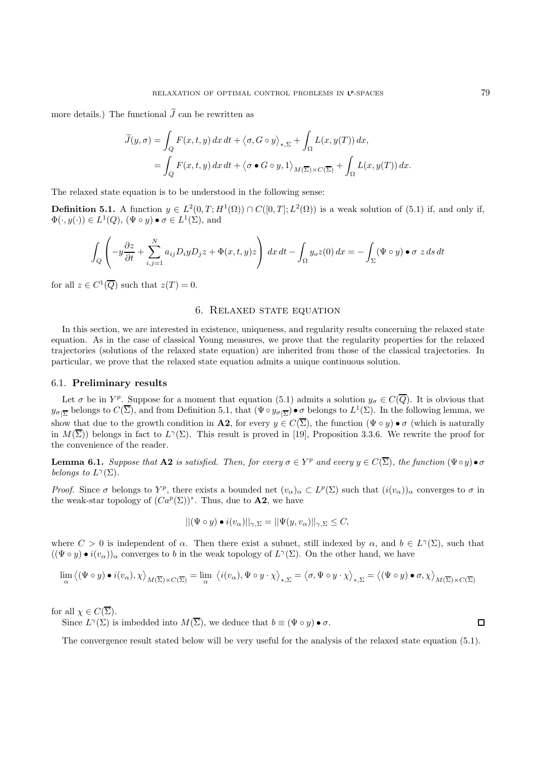more details.) The functional  $J$  can be rewritten as

$$
\widetilde{J}(y,\sigma) = \int_{Q} F(x,t,y) dx dt + \langle \sigma, G \circ y \rangle_{*,\Sigma} + \int_{\Omega} L(x,y(T)) dx,
$$
  
= 
$$
\int_{Q} F(x,t,y) dx dt + \langle \sigma \bullet G \circ y, 1 \rangle_{M(\overline{\Sigma}) \times C(\overline{\Sigma})} + \int_{\Omega} L(x,y(T)) dx.
$$

The relaxed state equation is to be understood in the following sense:

**Definition 5.1.** A function  $y \in L^2(0,T;H^1(\Omega)) \cap C([0,T];L^2(\Omega))$  is a weak solution of (5.1) if, and only if,  $\Phi(\cdot, y(\cdot)) \in L^1(Q)$ ,  $(\Psi \circ y) \bullet \sigma \in L^1(\Sigma)$ , and

$$
\int_{Q} \left( -y \frac{\partial z}{\partial t} + \sum_{i,j=1}^{N} a_{ij} D_{i} y D_{j} z + \Phi(x,t,y) z \right) dx dt - \int_{\Omega} y_{o} z(0) dx = - \int_{\Sigma} (\Psi \circ y) \bullet \sigma z ds dt
$$

for all  $z \in C^1(\overline{Q})$  such that  $z(T) = 0$ .

## 6. Relaxed state equation

In this section, we are interested in existence, uniqueness, and regularity results concerning the relaxed state equation. As in the case of classical Young measures, we prove that the regularity properties for the relaxed trajectories (solutions of the relaxed state equation) are inherited from those of the classical trajectories. In particular, we prove that the relaxed state equation admits a unique continuous solution.

#### 6.1. **Preliminary results**

Let  $\sigma$  be in Y<sup>p</sup>. Suppose for a moment that equation (5.1) admits a solution  $y_{\sigma} \in C(\overline{Q})$ . It is obvious that  $y_{\sigma|\overline{\Sigma}}$  belongs to  $C(\overline{\Sigma})$ , and from Definition 5.1, that  $(\Psi \circ y_{\sigma|\overline{\Sigma}}) \bullet \sigma$  belongs to  $L^1(\Sigma)$ . In the following lemma, we show that due to the growth condition in **A2**, for every  $y \in C(\overline{\Sigma})$ , the function  $(\Psi \circ y) \bullet \sigma$  (which is naturally in  $M(\overline{\Sigma})$ ) belongs in fact to  $L^{\gamma}(\Sigma)$ . This result is proved in [19], Proposition 3.3.6. We rewrite the proof for the convenience of the reader.

**Lemma 6.1.** Suppose that **A2** is satisfied. Then, for every  $\sigma \in Y^p$  and every  $y \in C(\overline{\Sigma})$ , the function  $(\Psi \circ y) \bullet \sigma$ belongs to  $L^{\gamma}(\Sigma)$ .

Proof. Since  $\sigma$  belongs to Y<sup>p</sup>, there exists a bounded net  $(v_\alpha)_\alpha \subset L^p(\Sigma)$  such that  $(i(v_\alpha))_\alpha$  converges to  $\sigma$  in the weak-star topology of  $(Ca^p(\Sigma))^*$ . Thus, due to **A2**, we have

$$
||(\Psi \circ y) \bullet i(v_{\alpha})||_{\gamma, \Sigma} = ||\Psi(y, v_{\alpha})||_{\gamma, \Sigma} \leq C,
$$

where  $C > 0$  is independent of  $\alpha$ . Then there exist a subnet, still indexed by  $\alpha$ , and  $b \in L^{\gamma}(\Sigma)$ , such that  $((\Psi \circ y) \bullet i(v_\alpha))_\alpha$  converges to b in the weak topology of  $L^\gamma(\Sigma)$ . On the other hand, we have

$$
\lim_{\alpha} \langle (\Psi \circ y) \bullet i(v_{\alpha}), \chi \rangle_{M(\overline{\Sigma}) \times C(\overline{\Sigma})} = \lim_{\alpha} \langle i(v_{\alpha}), \Psi \circ y \cdot \chi \rangle_{*,\Sigma} = \langle \sigma, \Psi \circ y \cdot \chi \rangle_{*,\Sigma} = \langle (\Psi \circ y) \bullet \sigma, \chi \rangle_{M(\overline{\Sigma}) \times C(\overline{\Sigma})}
$$

for all  $\chi \in C(\overline{\Sigma}).$ 

Since  $L^{\gamma}(\Sigma)$  is imbedded into  $M(\overline{\Sigma})$ , we deduce that  $b \equiv (\Psi \circ y) \bullet \sigma$ .

The convergence result stated below will be very useful for the analysis of the relaxed state equation (5.1).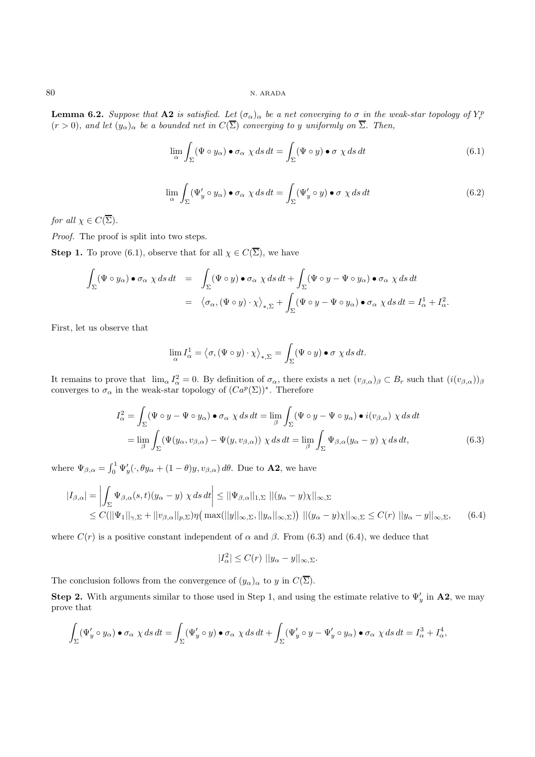**Lemma 6.2.** Suppose that **A2** is satisfied. Let  $(\sigma_{\alpha})_{\alpha}$  be a net converging to  $\sigma$  in the weak-star topology of  $Y_r^p$  $(r > 0)$ , and let  $(y_\alpha)_{\alpha}$  be a bounded net in  $C(\overline{\Sigma})$  converging to y uniformly on  $\overline{\Sigma}$ . Then,

$$
\lim_{\alpha} \int_{\Sigma} (\Psi \circ y_{\alpha}) \bullet \sigma_{\alpha} \chi ds dt = \int_{\Sigma} (\Psi \circ y) \bullet \sigma \chi ds dt \tag{6.1}
$$

$$
\lim_{\alpha} \int_{\Sigma} (\Psi'_y \circ y_\alpha) \bullet \sigma_\alpha \chi ds dt = \int_{\Sigma} (\Psi'_y \circ y) \bullet \sigma \chi ds dt \tag{6.2}
$$

for all  $\chi \in C(\overline{\Sigma})$ .

Proof. The proof is split into two steps.

**Step 1.** To prove (6.1), observe that for all  $\chi \in C(\overline{\Sigma})$ , we have

$$
\int_{\Sigma} (\Psi \circ y_{\alpha}) \bullet \sigma_{\alpha} \chi ds dt = \int_{\Sigma} (\Psi \circ y) \bullet \sigma_{\alpha} \chi ds dt + \int_{\Sigma} (\Psi \circ y - \Psi \circ y_{\alpha}) \bullet \sigma_{\alpha} \chi ds dt
$$
  

$$
= \langle \sigma_{\alpha}, (\Psi \circ y) \cdot \chi \rangle_{*,\Sigma} + \int_{\Sigma} (\Psi \circ y - \Psi \circ y_{\alpha}) \bullet \sigma_{\alpha} \chi ds dt = I_{\alpha}^{1} + I_{\alpha}^{2}.
$$

First, let us observe that

$$
\lim_{\alpha} I_{\alpha}^{1} = \langle \sigma, (\Psi \circ y) \cdot \chi \rangle_{*,\Sigma} = \int_{\Sigma} (\Psi \circ y) \bullet \sigma \chi ds dt.
$$

It remains to prove that  $\lim_{\alpha} I_{\alpha}^2 = 0$ . By definition of  $\sigma_{\alpha}$ , there exists a net  $(v_{\beta,\alpha})_{\beta} \subset B_r$  such that  $(i(v_{\beta,\alpha}))_{\beta}$ converges to  $\sigma_{\alpha}$  in the weak-star topology of  $(Ca^p(\Sigma))^*$ . Therefore

$$
I_{\alpha}^{2} = \int_{\Sigma} (\Psi \circ y - \Psi \circ y_{\alpha}) \bullet \sigma_{\alpha} \chi ds dt = \lim_{\beta} \int_{\Sigma} (\Psi \circ y - \Psi \circ y_{\alpha}) \bullet i(v_{\beta,\alpha}) \chi ds dt
$$
  

$$
= \lim_{\beta} \int_{\Sigma} (\Psi(y_{\alpha}, v_{\beta,\alpha}) - \Psi(y, v_{\beta,\alpha})) \chi ds dt = \lim_{\beta} \int_{\Sigma} \Psi_{\beta,\alpha}(y_{\alpha} - y) \chi ds dt,
$$
(6.3)

where  $\Psi_{\beta,\alpha} = \int_0^1 \Psi'_y(\cdot,\theta y_\alpha + (1-\theta)y,v_{\beta,\alpha}) d\theta$ . Due to **A2**, we have

$$
\begin{split} |I_{\beta,\alpha}| &= \left| \int_{\Sigma} \Psi_{\beta,\alpha}(s,t)(y_{\alpha}-y) \,\,\chi \,ds \,dt \right| \le ||\Psi_{\beta,\alpha}||_{1,\Sigma} \,\, \|(y_{\alpha}-y)\chi||_{\infty,\Sigma} \\ &\le C(||\Psi_1||_{\gamma,\Sigma} + ||v_{\beta,\alpha}||_{p,\Sigma})\eta\big(\max(||y||_{\infty,\Sigma},||y_{\alpha}||_{\infty,\Sigma})\big) \,\, \|(y_{\alpha}-y)\chi||_{\infty,\Sigma} \le C(r) \,\, ||y_{\alpha}-y||_{\infty,\Sigma}, \end{split} \tag{6.4}
$$

where  $C(r)$  is a positive constant independent of  $\alpha$  and  $\beta$ . From (6.3) and (6.4), we deduce that

$$
|I_{\alpha}^2| \le C(r) \, ||y_{\alpha} - y||_{\infty, \Sigma}.
$$

The conclusion follows from the convergence of  $(y_\alpha)_\alpha$  to y in  $C(\overline{\Sigma})$ .

**Step 2.** With arguments similar to those used in Step 1, and using the estimate relative to  $\Psi'_y$  in A2, we may prove that

$$
\int_{\Sigma} (\Psi'_y \circ y_\alpha) \bullet \sigma_\alpha \chi ds dt = \int_{\Sigma} (\Psi'_y \circ y) \bullet \sigma_\alpha \chi ds dt + \int_{\Sigma} (\Psi'_y \circ y - \Psi'_y \circ y_\alpha) \bullet \sigma_\alpha \chi ds dt = I_\alpha^3 + I_\alpha^4,
$$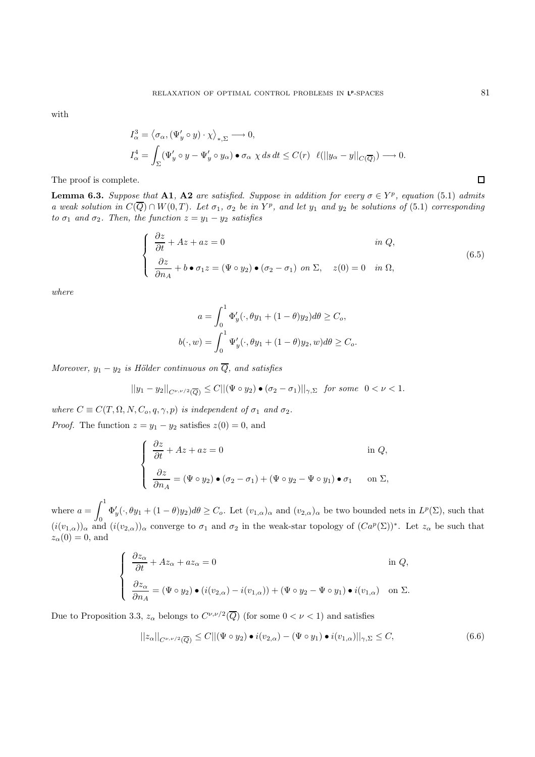with

$$
I_{\alpha}^{3} = \langle \sigma_{\alpha}, (\Psi_{y}' \circ y) \cdot \chi \rangle_{*,\Sigma} \longrightarrow 0,
$$
  
\n
$$
I_{\alpha}^{4} = \int_{\Sigma} (\Psi_{y}' \circ y - \Psi_{y}' \circ y_{\alpha}) \bullet \sigma_{\alpha} \chi ds dt \leq C(r) \quad \ell(||y_{\alpha} - y||_{C(\overline{Q})}) \longrightarrow 0.
$$

The proof is complete.

**Lemma 6.3.** Suppose that **A1**, **A2** are satisfied. Suppose in addition for every  $\sigma \in Y^p$ , equation (5.1) admits a weak solution in  $C(\overline{Q}) \cap W(0,T)$ . Let  $\sigma_1$ ,  $\sigma_2$  be in  $Y^p$ , and let  $y_1$  and  $y_2$  be solutions of (5.1) corresponding to  $\sigma_1$  and  $\sigma_2$ . Then, the function  $z = y_1 - y_2$  satisfies

$$
\begin{cases}\n\frac{\partial z}{\partial t} + Az + az = 0 & \text{in } Q, \\
\frac{\partial z}{\partial n_A} + b \bullet \sigma_1 z = (\Psi \circ y_2) \bullet (\sigma_2 - \sigma_1) & \text{on } \Sigma, \quad z(0) = 0 & \text{in } \Omega,\n\end{cases}
$$
\n(6.5)

where

$$
a = \int_0^1 \Phi'_y(\cdot, \theta y_1 + (1 - \theta)y_2)d\theta \ge C_o,
$$
  

$$
b(\cdot, w) = \int_0^1 \Psi'_y(\cdot, \theta y_1 + (1 - \theta)y_2, w)d\theta \ge C_o.
$$

Moreover,  $y_1 - y_2$  is Hölder continuous on  $\overline{Q}$ , and satisfies

$$
||y_1-y_2||_{C^{\nu,\nu/2}(\overline{Q})}\leq C||(\Psi\circ y_2)\bullet(\sigma_2-\sigma_1)||_{\gamma,\Sigma}\quad\text{for some}\quad 0<\nu<1.
$$

where  $C \equiv C(T, \Omega, N, C_o, q, \gamma, p)$  is independent of  $\sigma_1$  and  $\sigma_2$ . *Proof.* The function  $z = y_1 - y_2$  satisfies  $z(0) = 0$ , and

$$
\begin{cases}\n\frac{\partial z}{\partial t} + Az + az = 0 & \text{in } Q, \\
\frac{\partial z}{\partial n_A} = (\Psi \circ y_2) \bullet (\sigma_2 - \sigma_1) + (\Psi \circ y_2 - \Psi \circ y_1) \bullet \sigma_1 & \text{on } \Sigma,\n\end{cases}
$$

where  $a = \int_0^1$ 0  $\Phi'_y(\cdot,\theta y_1 + (1-\theta)y_2)d\theta \geq C_o$ . Let  $(v_{1,\alpha})_\alpha$  and  $(v_{2,\alpha})_\alpha$  be two bounded nets in  $L^p(\Sigma)$ , such that  $(i(v_{1,\alpha}))_{\alpha}$  and  $(i(v_{2,\alpha}))_{\alpha}$  converge to  $\sigma_1$  and  $\sigma_2$  in the weak-star topology of  $(Ca^p(\Sigma))^*$ . Let  $z_{\alpha}$  be such that  $z_\alpha(0) = 0$ , and

$$
\begin{cases}\n\frac{\partial z_{\alpha}}{\partial t} + Az_{\alpha} + az_{\alpha} = 0 & \text{in } Q, \\
\frac{\partial z_{\alpha}}{\partial n_{A}} = (\Psi \circ y_{2}) \bullet (i(v_{2,\alpha}) - i(v_{1,\alpha})) + (\Psi \circ y_{2} - \Psi \circ y_{1}) \bullet i(v_{1,\alpha}) & \text{on } \Sigma.\n\end{cases}
$$

Due to Proposition 3.3,  $z_\alpha$  belongs to  $C^{\nu,\nu/2}(\overline{Q})$  (for some  $0 < \nu < 1$ ) and satisfies

$$
||z_{\alpha}||_{C^{\nu,\nu/2}(\overline{Q})} \leq C ||(\Psi \circ y_2) \bullet i(v_{2,\alpha}) - (\Psi \circ y_1) \bullet i(v_{1,\alpha})||_{\gamma,\Sigma} \leq C,
$$
\n(6.6)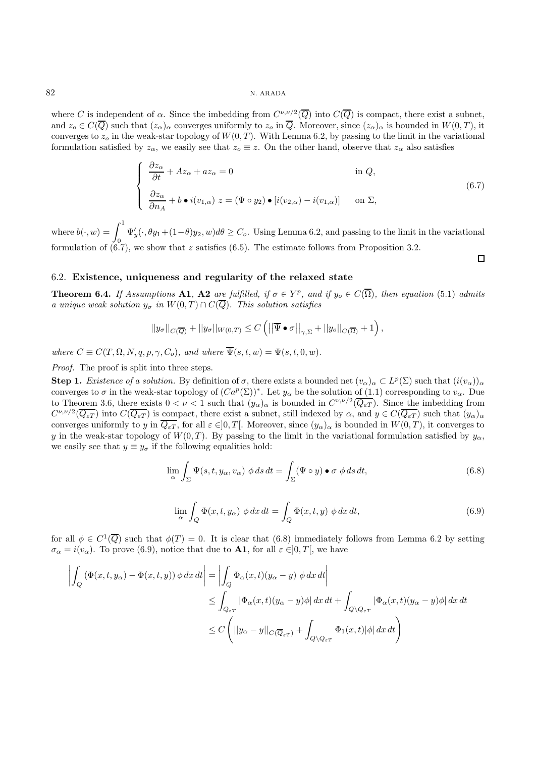where C is independent of  $\alpha$ . Since the imbedding from  $C^{\nu,\nu/2}(\overline{Q})$  into  $C(\overline{Q})$  is compact, there exist a subnet, and  $z_o \in C(\overline{Q})$  such that  $(z_\alpha)_\alpha$  converges uniformly to  $z_o$  in  $\overline{Q}$ . Moreover, since  $(z_\alpha)_\alpha$  is bounded in  $W(0,T)$ , it converges to  $z<sub>o</sub>$  in the weak-star topology of  $W(0, T)$ . With Lemma 6.2, by passing to the limit in the variational formulation satisfied by  $z_{\alpha}$ , we easily see that  $z_{\alpha} \equiv z$ . On the other hand, observe that  $z_{\alpha}$  also satisfies

$$
\begin{cases}\n\frac{\partial z_{\alpha}}{\partial t} + Az_{\alpha} + az_{\alpha} = 0 & \text{in } Q, \\
\frac{\partial z_{\alpha}}{\partial n_{A}} + b \bullet i(v_{1,\alpha}) \ z = (\Psi \circ y_{2}) \bullet [i(v_{2,\alpha}) - i(v_{1,\alpha})] & \text{on } \Sigma,\n\end{cases}
$$
\n(6.7)

where  $b(\cdot, w) = \int_0^1$ 0  $\Psi'_y(\cdot,\theta y_1+(1-\theta)y_2,w)d\theta \geq C_o$ . Using Lemma 6.2, and passing to the limit in the variational formulation of  $(6.7)$ , we show that z satisfies  $(6.5)$ . The estimate follows from Proposition 3.2.

#### 6.2. **Existence, uniqueness and regularity of the relaxed state**

**Theorem 6.4.** If Assumptions **A1**, **A2** are fulfilled, if  $\sigma \in Y^p$ , and if  $y_o \in C(\overline{\Omega})$ , then equation (5.1) admits a unique weak solution  $y_{\sigma}$  in  $W(0,T) \cap C(\overline{Q})$ . This solution satisfies

$$
||y_{\sigma}||_{C(\overline{Q})} + ||y_{\sigma}||_{W(0,T)} \leq C \left( \left| \left| \overline{\Psi} \bullet \sigma \right| \right|_{\gamma,\Sigma} + ||y_{\sigma}||_{C(\overline{\Omega})} + 1 \right),\right.
$$

where  $C \equiv C(T, \Omega, N, q, p, \gamma, C_o)$ , and where  $\overline{\Psi}(s, t, w) = \Psi(s, t, 0, w)$ .

Proof. The proof is split into three steps.

**Step 1.** Existence of a solution. By definition of  $\sigma$ , there exists a bounded net  $(v_\alpha)_\alpha \subset L^p(\Sigma)$  such that  $(i(v_\alpha))_\alpha$ converges to  $\sigma$  in the weak-star topology of  $(Ca^p(\Sigma))^*$ . Let  $y_\alpha$  be the solution of (1.1) corresponding to  $v_\alpha$ . Due to Theorem 3.6, there exists  $0 < \nu < 1$  such that  $(y_\alpha)_\alpha$  is bounded in  $C^{\nu,\nu/2}(\overline{Q_{\varepsilon T}})$ . Since the imbedding from  $C^{\nu,\nu/2}(\overline{Q_{\varepsilon T}})$  into  $C(\overline{Q_{\varepsilon T}})$  is compact, there exist a subnet, still indexed by  $\alpha$ , and  $y \in C(\overline{Q_{\varepsilon T}})$  such that  $(y_\alpha)_\alpha$ converges uniformly to y in  $\overline{Q_{\varepsilon T}}$ , for all  $\varepsilon \in ]0, T[$ . Moreover, since  $(y_\alpha)_\alpha$  is bounded in  $W(0, T)$ , it converges to y in the weak-star topology of  $W(0,T)$ . By passing to the limit in the variational formulation satisfied by  $y_\alpha$ , we easily see that  $y \equiv y_{\sigma}$  if the following equalities hold:

$$
\lim_{\alpha} \int_{\Sigma} \Psi(s, t, y_{\alpha}, v_{\alpha}) \phi ds dt = \int_{\Sigma} (\Psi \circ y) \bullet \sigma \phi ds dt, \tag{6.8}
$$

$$
\lim_{\alpha} \int_{Q} \Phi(x, t, y_{\alpha}) \phi \, dx \, dt = \int_{Q} \Phi(x, t, y) \phi \, dx \, dt,\tag{6.9}
$$

for all  $\phi \in C^1(\overline{Q})$  such that  $\phi(T) = 0$ . It is clear that (6.8) immediately follows from Lemma 6.2 by setting  $\sigma_{\alpha} = i(v_{\alpha})$ . To prove (6.9), notice that due to **A1**, for all  $\varepsilon \in ]0, T[$ , we have

$$
\left| \int_{Q} \left( \Phi(x, t, y_{\alpha}) - \Phi(x, t, y) \right) \phi \, dx \, dt \right| = \left| \int_{Q} \Phi_{\alpha}(x, t) (y_{\alpha} - y) \phi \, dx \, dt \right|
$$
  

$$
\leq \int_{Q_{\varepsilon T}} \left| \Phi_{\alpha}(x, t) (y_{\alpha} - y) \phi \right| dx \, dt + \int_{Q \setminus Q_{\varepsilon T}} \left| \Phi_{\alpha}(x, t) (y_{\alpha} - y) \phi \right| dx \, dt
$$
  

$$
\leq C \left( ||y_{\alpha} - y||_{C(\overline{Q}_{\varepsilon T})} + \int_{Q \setminus Q_{\varepsilon T}} \Phi_{1}(x, t) |\phi| \, dx \, dt \right)
$$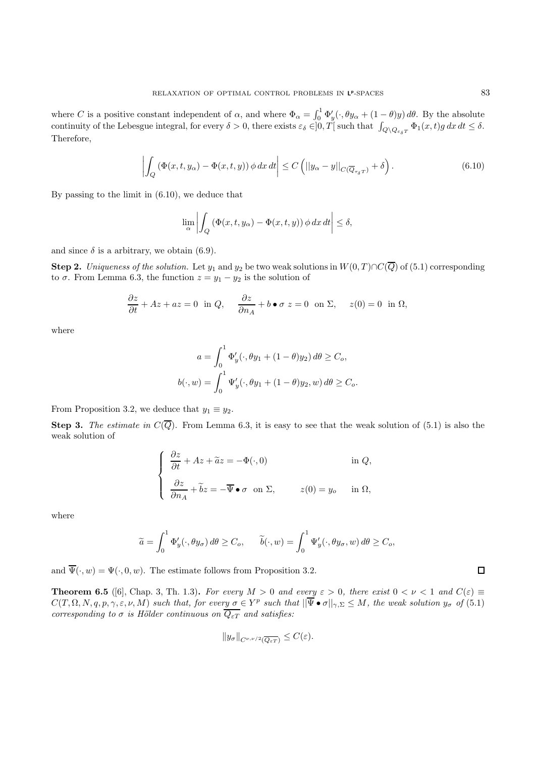where C is a positive constant independent of  $\alpha$ , and where  $\Phi_{\alpha} = \int_0^1 \Phi_y'(\cdot, \theta y_{\alpha} + (1 - \theta)y) d\theta$ . By the absolute continuity of the Lebesgue integral, for every  $\delta > 0$ , there exists  $\varepsilon_{\delta} \in ]0,T[$  such that  $\int_{Q \setminus Q_{\varepsilon_{\delta}T}} \Phi_1(x,t)g \, dx \, dt \leq \delta$ . Therefore,

$$
\left| \int_{Q} \left( \Phi(x, t, y_{\alpha}) - \Phi(x, t, y) \right) \phi \, dx \, dt \right| \leq C \left( \left| \left| y_{\alpha} - y \right| \right|_{C(\overline{Q}_{\tau_{\delta}T})} + \delta \right). \tag{6.10}
$$

By passing to the limit in (6.10), we deduce that

$$
\lim_{\alpha} \left| \int_{Q} \left( \Phi(x, t, y_{\alpha}) - \Phi(x, t, y) \right) \phi \, dx \, dt \right| \leq \delta,
$$

and since  $\delta$  is a arbitrary, we obtain (6.9).

**Step 2.** Uniqueness of the solution. Let  $y_1$  and  $y_2$  be two weak solutions in  $W(0,T) \cap C(\overline{Q})$  of (5.1) corresponding to  $\sigma$ . From Lemma 6.3, the function  $z = y_1 - y_2$  is the solution of

$$
\frac{\partial z}{\partial t} + Az + az = 0 \text{ in } Q, \quad \frac{\partial z}{\partial n_A} + b \bullet \sigma z = 0 \text{ on } \Sigma, \quad z(0) = 0 \text{ in } \Omega,
$$

where

$$
a = \int_0^1 \Phi'_y(\cdot, \theta y_1 + (1 - \theta)y_2) d\theta \ge C_o,
$$
  

$$
b(\cdot, w) = \int_0^1 \Psi'_y(\cdot, \theta y_1 + (1 - \theta)y_2, w) d\theta \ge C_o.
$$

From Proposition 3.2, we deduce that  $y_1 \equiv y_2$ .

**Step 3.** The estimate in  $C(\overline{Q})$ . From Lemma 6.3, it is easy to see that the weak solution of (5.1) is also the weak solution of

$$
\begin{cases}\n\frac{\partial z}{\partial t} + Az + \tilde{a}z = -\Phi(\cdot, 0) & \text{in } Q, \\
\frac{\partial z}{\partial n_A} + \tilde{b}z = -\overline{\Psi} \bullet \sigma \text{ on } \Sigma, & z(0) = y_o \text{ in } \Omega,\n\end{cases}
$$

where

$$
\widetilde{a} = \int_0^1 \Phi_y'(\cdot, \theta y_\sigma) d\theta \ge C_o, \qquad \widetilde{b}(\cdot, w) = \int_0^1 \Psi_y'(\cdot, \theta y_\sigma, w) d\theta \ge C_o,
$$

and  $\overline{\Psi}(\cdot, w) = \Psi(\cdot, 0, w)$ . The estimate follows from Proposition 3.2.

**Theorem 6.5** ([6], Chap. 3, Th. 1.3). For every  $M > 0$  and every  $\varepsilon > 0$ , there exist  $0 < \nu < 1$  and  $C(\varepsilon) \equiv$  $C(T, \Omega, N, q, p, \gamma, \varepsilon, \nu, M)$  such that, for every  $\sigma \in Y^p$  such that  $\|\overline{\Psi} \bullet \sigma\|_{\gamma, \Sigma} \leq M$ , the weak solution  $y_{\sigma}$  of  $(5.1)$ corresponding to  $\sigma$  is Hölder continuous on  $\overline{Q_{\varepsilon T}}$  and satisfies:

$$
||y_{\sigma}||_{C^{\nu,\nu/2}(\overline{Q_{\varepsilon T}})} \leq C(\varepsilon).
$$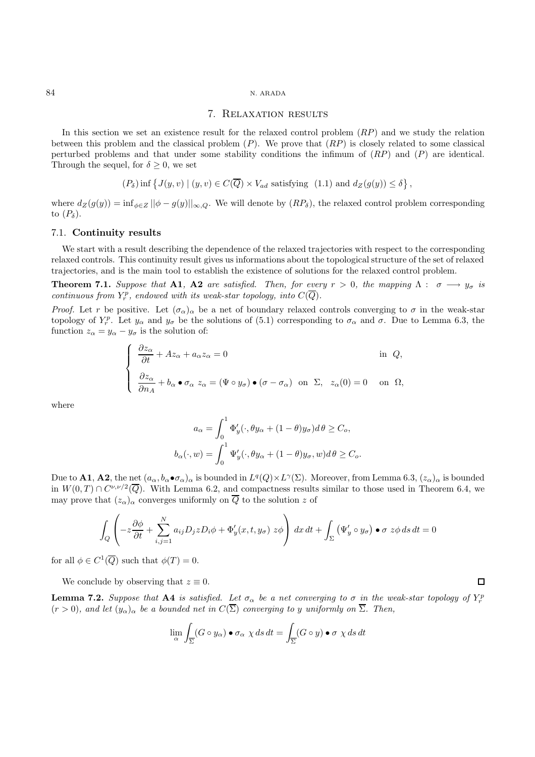#### 7. Relaxation results

In this section we set an existence result for the relaxed control problem  $(RP)$  and we study the relation between this problem and the classical problem  $(P)$ . We prove that  $(RP)$  is closely related to some classical perturbed problems and that under some stability conditions the infimum of  $(RP)$  and  $(P)$  are identical. Through the sequel, for  $\delta \geq 0$ , we set

$$
(P_{\delta}) \inf \left\{ J(y, v) \mid (y, v) \in C(\overline{Q}) \times V_{ad} \text{ satisfying } (1.1) \text{ and } d_Z(g(y)) \le \delta \right\},\
$$

where  $d_Z(g(y)) = \inf_{\phi \in Z} ||\phi - g(y)||_{\infty,Q}$ . We will denote by  $(RP_\delta)$ , the relaxed control problem corresponding to  $(P_{\delta})$ .

#### 7.1. **Continuity results**

We start with a result describing the dependence of the relaxed trajectories with respect to the corresponding relaxed controls. This continuity result gives us informations about the topological structure of the set of relaxed trajectories, and is the main tool to establish the existence of solutions for the relaxed control problem.

**Theorem 7.1.** Suppose that **A1**, **A2** are satisfied. Then, for every  $r > 0$ , the mapping  $\Lambda : \sigma \longrightarrow y_{\sigma}$  is continuous from  $Y_r^p$ , endowed with its weak-star topology, into  $C(\overline{Q})$ .

*Proof.* Let r be positive. Let  $(\sigma_{\alpha})_{\alpha}$  be a net of boundary relaxed controls converging to  $\sigma$  in the weak-star topology of  $Y_r^p$ . Let  $y_\alpha$  and  $y_\sigma$  be the solutions of (5.1) corresponding to  $\sigma_\alpha$  and  $\sigma$ . Due to Lemma 6.3, the function  $z_{\alpha} = y_{\alpha} - y_{\sigma}$  is the solution of:

$$
\begin{cases}\n\frac{\partial z_{\alpha}}{\partial t} + Az_{\alpha} + a_{\alpha}z_{\alpha} = 0 & \text{in } Q, \\
\frac{\partial z_{\alpha}}{\partial n_{A}} + b_{\alpha} \bullet \sigma_{\alpha} z_{\alpha} = (\Psi \circ y_{\sigma}) \bullet (\sigma - \sigma_{\alpha}) & \text{on } \Sigma, \ z_{\alpha}(0) = 0 & \text{on } \Omega,\n\end{cases}
$$

where

$$
a_{\alpha} = \int_0^1 \Phi'_y(\cdot, \theta y_{\alpha} + (1 - \theta)y_{\sigma}) d\theta \ge C_o,
$$
  

$$
b_{\alpha}(\cdot, w) = \int_0^1 \Psi'_y(\cdot, \theta y_{\alpha} + (1 - \theta)y_{\sigma}, w) d\theta \ge C_o.
$$

Due to **A1**, **A2**, the net  $(a_{\alpha}, b_{\alpha} \bullet \sigma_{\alpha})_{\alpha}$  is bounded in  $L^q(Q) \times L^{\gamma}(\Sigma)$ . Moreover, from Lemma 6.3,  $(z_{\alpha})_{\alpha}$  is bounded in  $W(0,T) \cap C^{\nu,\nu/2}(\overline{Q})$ . With Lemma 6.2, and compactness results similar to those used in Theorem 6.4, we may prove that  $(z_{\alpha})_{\alpha}$  converges uniformly on  $\overline{Q}$  to the solution z of

$$
\int_{Q} \left( -z \frac{\partial \phi}{\partial t} + \sum_{i,j=1}^{N} a_{ij} D_j z D_i \phi + \Phi'_y(x, t, y_\sigma) z \phi \right) dx dt + \int_{\Sigma} \left( \Psi'_y \circ y_\sigma \right) \bullet \sigma z \phi ds dt = 0
$$

for all  $\phi \in C^1(\overline{Q})$  such that  $\phi(T)=0$ .

We conclude by observing that  $z \equiv 0$ .

**Lemma 7.2.** Suppose that **A4** is satisfied. Let  $\sigma_{\alpha}$  be a net converging to  $\sigma$  in the weak-star topology of  $Y_r^p$  $(r > 0)$ , and let  $(y_{\alpha})_{\alpha}$  be a bounded net in  $C(\overline{\Sigma})$  converging to y uniformly on  $\overline{\Sigma}$ . Then,

$$
\lim_{\alpha} \int_{\overline{\Sigma}} (G \circ y_{\alpha}) \bullet \sigma_{\alpha} \times ds dt = \int_{\overline{\Sigma}} (G \circ y) \bullet \sigma \times ds dt
$$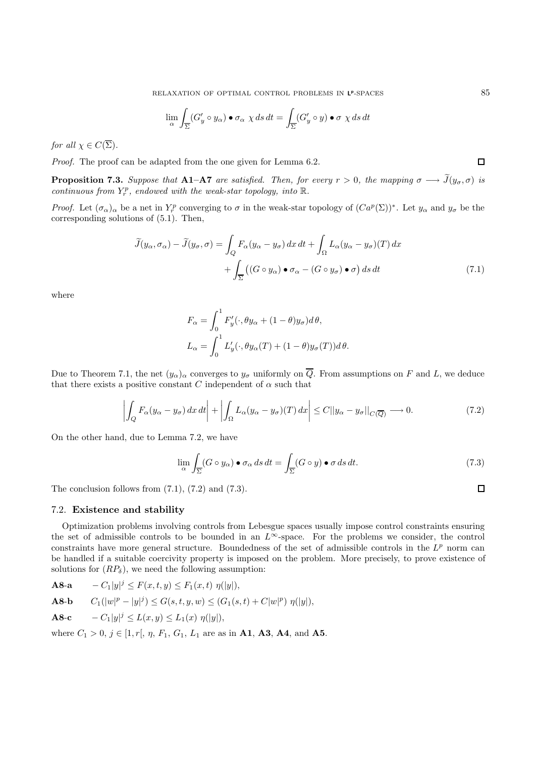$$
\lim_{\alpha} \int_{\overline{\Sigma}} (G'_y \circ y_\alpha) \bullet \sigma_\alpha \chi ds dt = \int_{\overline{\Sigma}} (G'_y \circ y) \bullet \sigma \chi ds dt
$$

for all  $\chi \in C(\overline{\Sigma})$ .

Proof. The proof can be adapted from the one given for Lemma 6.2.

**Proposition 7.3.** Suppose that **A1–A7** are satisfied. Then, for every  $r > 0$ , the mapping  $\sigma \longrightarrow J(y_{\sigma}, \sigma)$  is continuous from  $Y_r^p$ , endowed with the weak-star topology, into  $\mathbb{R}$ .

*Proof.* Let  $(\sigma_{\alpha})_{\alpha}$  be a net in  $Y_r^p$  converging to  $\sigma$  in the weak-star topology of  $(Ca^p(\Sigma))^*$ . Let  $y_{\alpha}$  and  $y_{\sigma}$  be the corresponding solutions of (5.1). Then,

$$
\widetilde{J}(y_{\alpha}, \sigma_{\alpha}) - \widetilde{J}(y_{\sigma}, \sigma) = \int_{Q} F_{\alpha}(y_{\alpha} - y_{\sigma}) dx dt + \int_{\Omega} L_{\alpha}(y_{\alpha} - y_{\sigma})(T) dx \n+ \int_{\overline{\Sigma}} ((G \circ y_{\alpha}) \bullet \sigma_{\alpha} - (G \circ y_{\sigma}) \bullet \sigma) ds dt
$$
\n(7.1)

where

$$
F_{\alpha} = \int_0^1 F'_y(\cdot, \theta y_{\alpha} + (1 - \theta)y_{\sigma}) d\theta,
$$
  

$$
L_{\alpha} = \int_0^1 L'_y(\cdot, \theta y_{\alpha}(T) + (1 - \theta)y_{\sigma}(T)) d\theta.
$$

Due to Theorem 7.1, the net  $(y_\alpha)_\alpha$  converges to  $y_\sigma$  uniformly on  $\overline{Q}$ . From assumptions on F and L, we deduce that there exists a positive constant C independent of  $\alpha$  such that

$$
\left| \int_{Q} F_{\alpha}(y_{\alpha} - y_{\sigma}) dx dt \right| + \left| \int_{\Omega} L_{\alpha}(y_{\alpha} - y_{\sigma})(T) dx \right| \leq C ||y_{\alpha} - y_{\sigma}||_{C(\overline{Q})} \longrightarrow 0. \tag{7.2}
$$

On the other hand, due to Lemma 7.2, we have

$$
\lim_{\alpha} \int_{\overline{\Sigma}} (G \circ y_{\alpha}) \bullet \sigma_{\alpha} ds dt = \int_{\overline{\Sigma}} (G \circ y) \bullet \sigma ds dt. \tag{7.3}
$$

The conclusion follows from  $(7.1)$ ,  $(7.2)$  and  $(7.3)$ .

## 7.2. **Existence and stability**

Optimization problems involving controls from Lebesgue spaces usually impose control constraints ensuring the set of admissible controls to be bounded in an  $L^{\infty}$ -space. For the problems we consider, the control constraints have more general structure. Boundedness of the set of admissible controls in the  $L^p$  norm can be handled if a suitable coercivity property is imposed on the problem. More precisely, to prove existence of solutions for  $(RP_\delta)$ , we need the following assumption:

**A8-a**  $-C_1|y|^j \leq F(x,t,y) \leq F_1(x,t) \eta(|y|),$ 

**A8-b**  $C_1(|w|^p - |y|^j) \le G(s, t, y, w) \le (G_1(s, t) + C|w|^p) \eta(|y|),$ 

**A8-c**  $-C_1|y|^j \le L(x,y) \le L_1(x) \eta(|y|),$ 

where  $C_1 > 0$ ,  $j \in [1, r], \eta, F_1, G_1, L_1$  are as in **A1**, **A3**, **A4**, and **A5**.

 $\Box$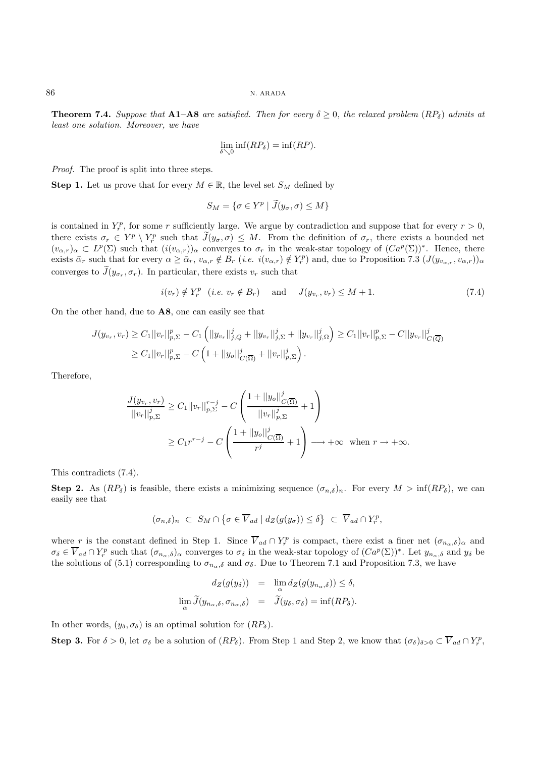**Theorem 7.4.** Suppose that **A1–A8** are satisfied. Then for every  $\delta \geq 0$ , the relaxed problem  $(RP_{\delta})$  admits at least one solution. Moreover, we have

$$
\lim_{\delta \searrow 0} \inf(RP_{\delta}) = \inf(RP).
$$

Proof. The proof is split into three steps.

**Step 1.** Let us prove that for every  $M \in \mathbb{R}$ , the level set  $S_M$  defined by

$$
S_M = \{ \sigma \in Y^p \mid \widetilde{J}(y_\sigma, \sigma) \le M \}
$$

is contained in  $Y_r^p$ , for some r sufficiently large. We argue by contradiction and suppose that for every  $r > 0$ , there exists  $\sigma_r \in Y^p \setminus Y_r^p$  such that  $\tilde{J}(y_\sigma, \sigma) \leq M$ . From the definition of  $\sigma_r$ , there exists a bounded net  $(v_{\alpha,r})_{\alpha} \subset L^p(\Sigma)$  such that  $(i(v_{\alpha,r}))_{\alpha}$  converges to  $\sigma_r$  in the weak-star topology of  $(Ca^p(\Sigma))^*$ . Hence, there exists  $\bar{\alpha}_r$  such that for every  $\alpha \geq \bar{\alpha}_r$ ,  $v_{\alpha,r} \notin B_r$  (*i.e.*  $i(v_{\alpha,r}) \notin Y_r^p$ ) and, due to Proposition 7.3  $(J(y_{v_{\alpha,r}}, v_{\alpha,r}))_{\alpha}$ converges to  $J(y_{\sigma_r}, \sigma_r)$ . In particular, there exists  $v_r$  such that

$$
i(v_r) \notin Y_r^p \quad (i.e. \ v_r \notin B_r) \quad \text{and} \quad J(y_{v_r}, v_r) \le M + 1. \tag{7.4}
$$

On the other hand, due to **A8**, one can easily see that

$$
J(y_{v_r}, v_r) \geq C_1 ||v_r||_{p, \Sigma}^p - C_1 (||y_{v_r}||_{j, Q}^j + ||y_{v_r}||_{j, \Sigma}^j + ||y_{v_r}||_{j, \Omega}^j) \geq C_1 ||v_r||_{p, \Sigma}^p - C ||y_{v_r}||_{C(\overline{Q})}^j
$$
  
 
$$
\geq C_1 ||v_r||_{p, \Sigma}^p - C (1 + ||y_o||_{C(\overline{\Omega})}^j + ||v_r||_{p, \Sigma}^j).
$$

Therefore,

$$
\frac{J(y_{v_r}, v_r)}{||v_r||_{p,\Sigma}^j} \ge C_1 ||v_r||_{p,\Sigma}^{r-j} - C \left( \frac{1 + ||y_o||_{C(\overline{\Omega})}^j}{||v_r||_{p,\Sigma}^j} + 1 \right)
$$
  
\n
$$
\ge C_1 r^{r-j} - C \left( \frac{1 + ||y_o||_{C(\overline{\Omega})}^j}{r^j} + 1 \right) \longrightarrow +\infty \text{ when } r \to +\infty.
$$

This contradicts (7.4).

**Step 2.** As  $(RP_{\delta})$  is feasible, there exists a minimizing sequence  $(\sigma_{n,\delta})_n$ . For every  $M > \inf(RP_{\delta})$ , we can easily see that

$$
(\sigma_{n,\delta})_n \ \subset \ S_M \cap \big\{\sigma \in \overline{V}_{ad} \mid d_Z(g(y_{\sigma})) \leq \delta \big\} \ \subset \ \overline{V}_{ad} \cap Y_r^p,
$$

where r is the constant defined in Step 1. Since  $\overline{V}_{ad} \cap Y_r^p$  is compact, there exist a finer net  $(\sigma_{n_\alpha,\delta})_\alpha$  and  $\sigma_{\delta} \in \overline{V}_{ad} \cap Y_r^p$  such that  $(\sigma_{n_{\alpha},\delta})_{\alpha}$  converges to  $\sigma_{\delta}$  in the weak-star topology of  $(Ca^p(\Sigma))^*$ . Let  $y_{n_{\alpha},\delta}$  and  $y_{\delta}$  be the solutions of (5.1) corresponding to  $\sigma_{n_{\alpha},\delta}$  and  $\sigma_{\delta}$ . Due to Theorem 7.1 and Proposition 7.3, we have

$$
d_Z(g(y_\delta)) = \lim_{\alpha} d_Z(g(y_{n_\alpha,\delta})) \leq \delta,
$$
  

$$
\lim_{\alpha} \widetilde{J}(y_{n_\alpha,\delta}, \sigma_{n_\alpha,\delta}) = \widetilde{J}(y_\delta, \sigma_\delta) = \inf(RP_\delta).
$$

In other words,  $(y_\delta, \sigma_\delta)$  is an optimal solution for  $(RP_\delta)$ .

**Step 3.** For  $\delta > 0$ , let  $\sigma_{\delta}$  be a solution of  $(RP_{\delta})$ . From Step 1 and Step 2, we know that  $(\sigma_{\delta})_{\delta > 0} \subset \overline{V}_{ad} \cap Y_r^p$ ,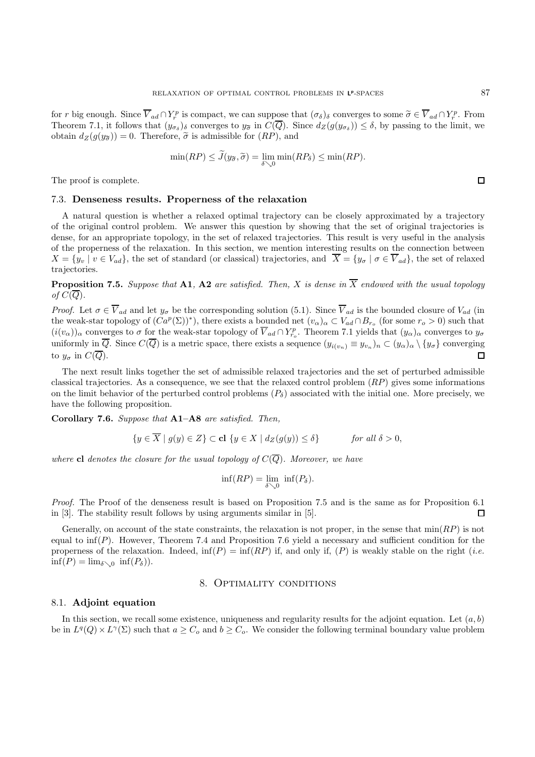for r big enough. Since  $\overline{V}_{ad} \cap Y_r^p$  is compact, we can suppose that  $(\sigma_{\delta})_{\delta}$  converges to some  $\widetilde{\sigma} \in \overline{V}_{ad} \cap Y_r^p$ . From<br>Theorem 7.1, it follows that  $(v)$  a converges to us in  $C(\overline{O})$ . Since  $d_{\sigma}(g(v)) \leq \$ Theorem 7.1, it follows that  $(y_{\sigma_{\delta}})_{\delta}$  converges to  $y_{\tilde{\sigma}}$  in  $C(\overline{Q})$ . Since  $d_Z(g(y_{\sigma_{\delta}})) \leq \delta$ , by passing to the limit, we obtain  $d_Z(q(y_{\tilde{\sigma}})) = 0$ . Therefore,  $\tilde{\sigma}$  is admissible for  $(RP)$ , and

$$
\min(RP) \le \widetilde{J}(y_{\widetilde{\sigma}}, \widetilde{\sigma}) = \lim_{\delta \searrow 0} \min(RP_{\delta}) \le \min(RP).
$$

The proof is complete.

#### 7.3. **Denseness results. Properness of the relaxation**

A natural question is whether a relaxed optimal trajectory can be closely approximated by a trajectory of the original control problem. We answer this question by showing that the set of original trajectories is dense, for an appropriate topology, in the set of relaxed trajectories. This result is very useful in the analysis of the properness of the relaxation. In this section, we mention interesting results on the connection between  $X = \{y_v \mid v \in V_{ad}\}\$ , the set of standard (or classical) trajectories, and  $\overline{X} = \{y_\sigma \mid \sigma \in \overline{V}_{ad}\}\$ , the set of relaxed trajectories.

**Proposition 7.5.** Suppose that **A1**, **A2** are satisfied. Then, X is dense in  $\overline{X}$  endowed with the usual topology of  $C(Q)$ .

*Proof.* Let  $\sigma \in \overline{V}_{ad}$  and let  $y_{\sigma}$  be the corresponding solution (5.1). Since  $\overline{V}_{ad}$  is the bounded closure of  $V_{ad}$  (in the weak-star topology of  $(Ca^p(\Sigma))^*$ , there exists a bounded net  $(v_\alpha)_\alpha \subset V_{ad} \cap B_{r_\alpha}$  (for some  $r_o > 0$ ) such that  $(i(v_\alpha))_\alpha$  converges to  $\sigma$  for the weak-star topology of  $\overline{V}_{ad} \cap Y_{r_o}^p$ . Theorem 7.1 yields that  $(y_\alpha)_\alpha$  converges to  $y_\sigma$ uniformly in  $\overline{Q}$ . Since  $C(\overline{Q})$  is a metric space, there exists a sequence  $(y_{i(v_n)} \equiv y_{v_n})_n \subset (y_\alpha)_\alpha \setminus \{y_\sigma\}$  converging to  $y_{\sigma}$  in  $C(\overline{Q})$ .

The next result links together the set of admissible relaxed trajectories and the set of perturbed admissible classical trajectories. As a consequence, we see that the relaxed control problem (RP) gives some informations on the limit behavior of the perturbed control problems  $(P_{\delta})$  associated with the initial one. More precisely, we have the following proposition.

**Corollary 7.6.** Suppose that **A1–A8** are satisfied. Then,

$$
\{y \in \overline{X} \mid g(y) \in Z\} \subset \text{cl } \{y \in X \mid d_Z(g(y)) \le \delta\} \quad \text{for all } \delta > 0,
$$

where **cl** denotes the closure for the usual topology of  $C(\overline{Q})$ . Moreover, we have

$$
\inf(RP) = \lim_{\delta \searrow 0} \inf(P_{\delta}).
$$

Proof. The Proof of the denseness result is based on Proposition 7.5 and is the same as for Proposition 6.1 in [3]. The stability result follows by using arguments similar in [5].  $\Box$ 

Generally, on account of the state constraints, the relaxation is not proper, in the sense that  $min(RP)$  is not equal to  $\inf(P)$ . However, Theorem 7.4 and Proposition 7.6 yield a necessary and sufficient condition for the properness of the relaxation. Indeed,  $\inf(P) = \inf(RP)$  if, and only if,  $(P)$  is weakly stable on the right (*i.e.*  $\inf(P) = \lim_{\delta \searrow 0} \inf(P_{\delta})$ .

## 8. Optimality conditions

#### 8.1. **Adjoint equation**

In this section, we recall some existence, uniqueness and regularity results for the adjoint equation. Let  $(a, b)$ be in  $L^q(Q) \times L^{\gamma}(\Sigma)$  such that  $a \geq C_o$  and  $b \geq C_o$ . We consider the following terminal boundary value problem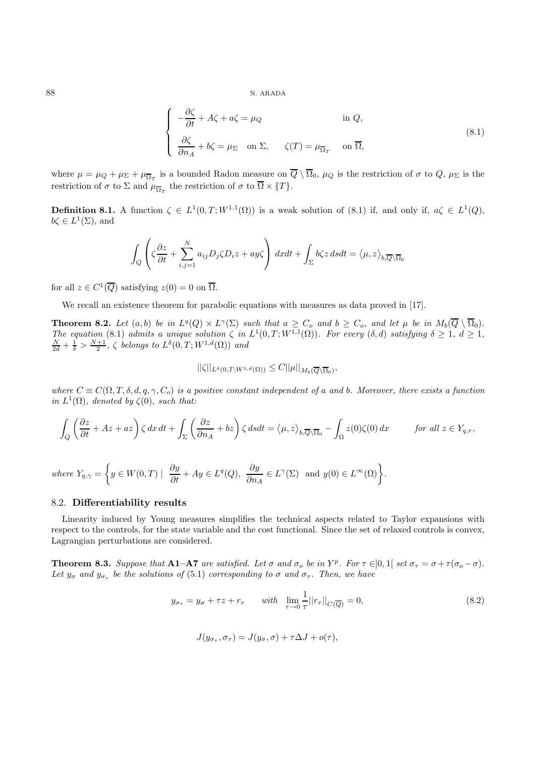$$
\begin{cases}\n-\frac{\partial \zeta}{\partial t} + A \zeta + a \zeta = \mu_Q & \text{in } Q, \\
\frac{\partial \zeta}{\partial n_A} + b \zeta = \mu_\Sigma & \text{on } \Sigma, \\
\zeta(T) = \mu_{\overline{\Omega}_T} & \text{on } \overline{\Omega},\n\end{cases}
$$
\n(8.1)

where  $\mu = \mu_Q + \mu_{\Sigma} + \mu_{\overline{\Omega}_T}$  is a bounded Radon measure on  $\overline{Q} \setminus \overline{\Omega}_0$ ,  $\mu_Q$  is the restriction of  $\sigma$  to  $Q$ ,  $\mu_{\Sigma}$  is the restriction of  $\sigma$  to  $\Sigma$  and  $\mu_{\overline{\Omega}_T}$  the restriction of  $\sigma$  to  $\overline{\Omega} \times \{T\}$ .

**Definition 8.1.** A function  $\zeta \in L^1(0,T;W^{1,1}(\Omega))$  is a weak solution of (8.1) if, and only if,  $a\zeta \in L^1(Q)$ ,  $b\zeta \in L^1(\Sigma)$ , and

$$
\int_{Q} \left( \zeta \frac{\partial z}{\partial t} + \sum_{i,j=1}^{N} a_{ij} D_{j} \zeta D_{i} z + ay \zeta \right) dxdt + \int_{\Sigma} b \zeta z dsdt = \langle \mu, z \rangle_{b, \overline{Q} \setminus \overline{\Omega}_{0}}
$$

for all  $z \in C^1(\overline{Q})$  satisfying  $z(0) = 0$  on  $\overline{\Omega}$ .

We recall an existence theorem for parabolic equations with measures as data proved in [17].

**Theorem 8.2.** Let  $(a, b)$  be in  $L^q(Q) \times L^{\gamma}(\Sigma)$  such that  $a \geq C_o$  and  $b \geq C_o$ , and let  $\mu$  be in  $M_b(\overline{Q} \setminus \overline{\Omega_0})$ . The equation (8.1) admits a unique solution  $\zeta$  in  $L^1(0,T;W^{1,1}(\Omega))$ . For every  $(\delta, d)$  satisfying  $\delta \geq 1$ ,  $d \geq 1$ ,  $\frac{N}{2d} + \frac{1}{\delta} > \frac{N+1}{2}$ ,  $\zeta$  belongs to  $L^{\delta}(0,T;W^{1,d}(\Omega))$  and

$$
||\zeta||_{L^{\delta}(0,T;W^{1,d}(\Omega))} \leq C||\mu||_{M_b(\overline{Q}\setminus\overline{\Omega}_0)},
$$

where  $C \equiv C(\Omega, T, \delta, d, q, \gamma, C_0)$  is a positive constant independent of a and b. Moreover, there exists a function in  $L^1(\Omega)$ , denoted by  $\zeta(0)$ , such that:

$$
\int_{Q} \left( \frac{\partial z}{\partial t} + Az + az \right) \zeta \, dx \, dt + \int_{\Sigma} \left( \frac{\partial z}{\partial n_A} + bz \right) \zeta \, ds dt = \langle \mu, z \rangle_{b, \overline{Q} \setminus \overline{\Omega}_0} - \int_{\Omega} z(0) \zeta(0) \, dx \qquad \text{for all } z \in Y_{q,r},
$$

where 
$$
Y_{q,\gamma} = \left\{ y \in W(0,T) \mid \frac{\partial y}{\partial t} + Ay \in L^q(Q), \frac{\partial y}{\partial n_A} \in L^{\gamma}(\Sigma)
$$
 and  $y(0) \in L^{\infty}(\Omega) \right\}.$ 

#### 8.2. **Differentiability results**

Linearity induced by Young measures simplifies the technical aspects related to Taylor expansions with respect to the controls, for the state variable and the cost functional. Since the set of relaxed controls is convex, Lagrangian perturbations are considered.

**Theorem 8.3.** Suppose that **A1–A7** are satisfied. Let  $\sigma$  and  $\sigma_o$  be in Y<sup>p</sup>. For  $\tau \in ]0,1[$  set  $\sigma_{\tau} = \sigma + \tau(\sigma_o - \sigma)$ . Let  $y_{\sigma}$  and  $y_{\sigma_{\tau}}$  be the solutions of (5.1) corresponding to  $\sigma$  and  $\sigma_{\tau}$ . Then, we have

$$
y_{\sigma_{\tau}} = y_{\sigma} + \tau z + r_{\tau} \qquad with \quad \lim_{\tau \to 0} \frac{1}{\tau} ||r_{\tau}||_{C(\overline{Q})} = 0,
$$
\n
$$
(8.2)
$$

$$
J(y_{\sigma_{\tau}}, \sigma_{\tau}) = J(y_{\sigma}, \sigma) + \tau \Delta J + o(\tau),
$$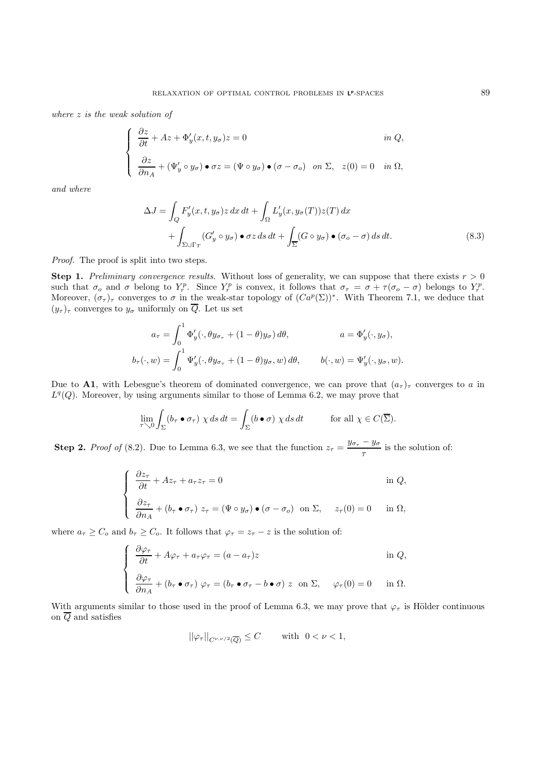where z is the weak solution of

$$
\begin{cases}\n\frac{\partial z}{\partial t} + Az + \Phi'_y(x, t, y_\sigma)z = 0 & \text{in } Q, \\
\frac{\partial z}{\partial n_A} + (\Psi'_y \circ y_\sigma) \bullet \sigma z = (\Psi \circ y_\sigma) \bullet (\sigma - \sigma_o) & \text{on } \Sigma, \quad z(0) = 0 \quad \text{in } \Omega,\n\end{cases}
$$

and where

$$
\Delta J = \int_{Q} F'_{y}(x, t, y_{\sigma}) z \, dx \, dt + \int_{\Omega} L'_{y}(x, y_{\sigma}(T)) z(T) \, dx + \int_{\Sigma \cup \Gamma_{T}} (G'_{y} \circ y_{\sigma}) \bullet \sigma z \, ds \, dt + \int_{\overline{\Sigma}} (G \circ y_{\sigma}) \bullet (\sigma_{o} - \sigma) \, ds \, dt.
$$
 (8.3)

Proof. The proof is split into two steps.

**Step 1.** Preliminary convergence results. Without loss of generality, we can suppose that there exists  $r > 0$ such that  $\sigma_o$  and  $\sigma$  belong to  $Y_r^p$ . Since  $Y_r^p$  is convex, it follows that  $\sigma_\tau = \sigma + \tau(\sigma_o - \sigma)$  belongs to  $Y_r^p$ . Moreover,  $(\sigma_{\tau})_{\tau}$  converges to  $\sigma$  in the weak-star topology of  $(Ca^p(\Sigma))^*$ . With Theorem 7.1, we deduce that  $(y_\tau)_\tau$  converges to  $y_\sigma$  uniformly on  $\overline{Q}$ . Let us set

$$
a_{\tau} = \int_0^1 \Phi'_y(\cdot, \theta y_{\sigma_{\tau}} + (1 - \theta)y_{\sigma}) d\theta, \qquad a = \Phi'_y(\cdot, y_{\sigma}),
$$
  

$$
b_{\tau}(\cdot, w) = \int_0^1 \Psi'_y(\cdot, \theta y_{\sigma_{\tau}} + (1 - \theta)y_{\sigma}, w) d\theta, \qquad b(\cdot, w) = \Psi'_y(\cdot, y_{\sigma}, w).
$$

Due to **A1**, with Lebesgue's theorem of dominated convergence, we can prove that  $(a_{\tau})_{\tau}$  converges to a in  $L^q(Q)$ . Moreover, by using arguments similar to those of Lemma 6.2, we may prove that

$$
\lim_{\tau \searrow 0} \int_{\Sigma} (b_{\tau} \bullet \sigma_{\tau}) \chi ds dt = \int_{\Sigma} (b \bullet \sigma) \chi ds dt \qquad \text{for all } \chi \in C(\overline{\Sigma}).
$$

**Step 2.** Proof of (8.2). Due to Lemma 6.3, we see that the function  $z_{\tau} = \frac{y_{\sigma_{\tau}} - y_{\sigma}}{\tau}$  is the solution of:

$$
\begin{cases}\n\frac{\partial z_{\tau}}{\partial t} + Az_{\tau} + a_{\tau} z_{\tau} = 0 & \text{in } Q, \\
\frac{\partial z_{\tau}}{\partial n_A} + (b_{\tau} \bullet \sigma_{\tau}) z_{\tau} = (\Psi \circ y_{\sigma}) \bullet (\sigma - \sigma_o) & \text{on } \Sigma, \quad z_{\tau}(0) = 0 & \text{in } \Omega,\n\end{cases}
$$

where  $a_{\tau} \geq C_o$  and  $b_{\tau} \geq C_o$ . It follows that  $\varphi_{\tau} = z_{\tau} - z$  is the solution of:

$$
\begin{cases}\n\frac{\partial \varphi_{\tau}}{\partial t} + A\varphi_{\tau} + a_{\tau}\varphi_{\tau} = (a - a_{\tau})z & \text{in } Q, \\
\frac{\partial \varphi_{\tau}}{\partial n_A} + (b_{\tau} \bullet \sigma_{\tau}) \varphi_{\tau} = (b_{\tau} \bullet \sigma_{\tau} - b \bullet \sigma) z & \text{on } \Sigma, \quad \varphi_{\tau}(0) = 0 & \text{in } \Omega.\n\end{cases}
$$

With arguments similar to those used in the proof of Lemma 6.3, we may prove that  $\varphi_{\tau}$  is Hölder continuous on  $\overline{Q}$  and satisfies

$$
||\varphi_{\tau}||_{C^{\nu,\nu/2}(\overline{Q})} \leq C \quad \text{with} \ \ 0 < \nu < 1,
$$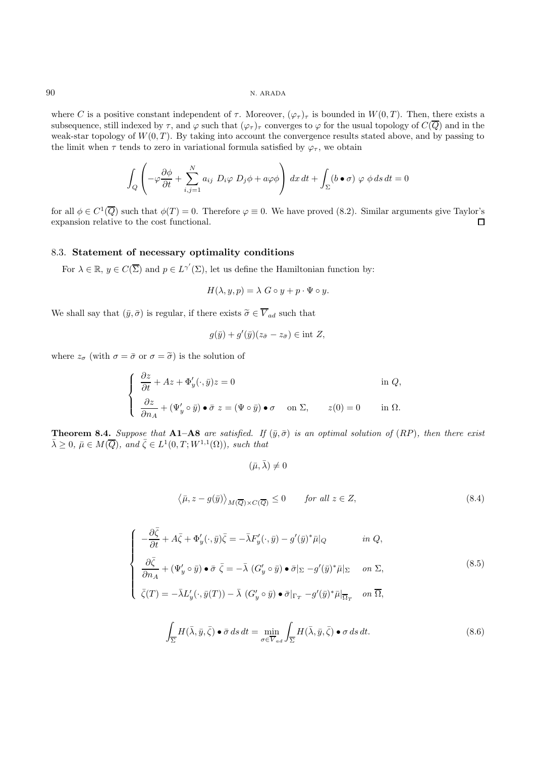where C is a positive constant independent of  $\tau$ . Moreover,  $(\varphi_{\tau})_{\tau}$  is bounded in  $W(0,T)$ . Then, there exists a subsequence, still indexed by  $\tau$ , and  $\varphi$  such that  $(\varphi_{\tau})_{\tau}$  converges to  $\varphi$  for the usual topology of  $C(\overline{Q})$  and in the weak-star topology of  $W(0,T)$ . By taking into account the convergence results stated above, and by passing to the limit when  $\tau$  tends to zero in variational formula satisfied by  $\varphi_{\tau}$ , we obtain

$$
\int_{Q} \left( -\varphi \frac{\partial \phi}{\partial t} + \sum_{i,j=1}^{N} a_{ij} \ D_{i} \varphi \ D_{j} \phi + a \varphi \phi \right) dx dt + \int_{\Sigma} (b \bullet \sigma) \ \varphi \ \phi \, ds \, dt = 0
$$

for all  $\phi \in C^1(\overline{Q})$  such that  $\phi(T) = 0$ . Therefore  $\varphi \equiv 0$ . We have proved (8.2). Similar arguments give Taylor's expansion relative to the cost functional.  $\Box$ 

## 8.3. **Statement of necessary optimality conditions**

For  $\lambda \in \mathbb{R}$ ,  $y \in C(\overline{\Sigma})$  and  $p \in L^{\gamma'}(\Sigma)$ , let us define the Hamiltonian function by:

$$
H(\lambda, y, p) = \lambda \ G \circ y + p \cdot \Psi \circ y.
$$

We shall say that  $(\bar{y}, \bar{\sigma})$  is regular, if there exists  $\tilde{\sigma} \in \overline{V}_{ad}$  such that

$$
g(\bar{y}) + g'(\bar{y})(z_{\tilde{\sigma}} - z_{\bar{\sigma}}) \in \text{int } Z,
$$

where  $z_{\sigma}$  (with  $\sigma = \bar{\sigma}$  or  $\sigma = \tilde{\sigma}$ ) is the solution of

$$
\begin{cases}\n\frac{\partial z}{\partial t} + Az + \Phi'_y(\cdot, \bar{y})z = 0 & \text{in } Q, \\
\frac{\partial z}{\partial n_A} + (\Psi'_y \circ \bar{y}) \bullet \bar{\sigma} \ z = (\Psi \circ \bar{y}) \bullet \sigma & \text{on } \Sigma, \qquad z(0) = 0 & \text{in } \Omega.\n\end{cases}
$$

**Theorem 8.4.** Suppose that **A1–A8** are satisfied. If  $(\bar{y}, \bar{\sigma})$  is an optimal solution of  $(RP)$ , then there exist  $\bar{\lambda} \geq 0$ ,  $\bar{\mu} \in M(\overline{Q})$ , and  $\bar{\zeta} \in L^1(0,T;W^{1,1}(\Omega))$ , such that

 $(\bar{\mu}, \bar{\lambda}) \neq 0$ 

$$
\langle \bar{\mu}, z - g(\bar{y}) \rangle_{M(\overline{Q}) \times C(\overline{Q})} \le 0 \qquad \text{for all } z \in Z,
$$
\n
$$
(8.4)
$$

$$
\begin{cases}\n-\frac{\partial \overline{\zeta}}{\partial t} + A \overline{\zeta} + \Phi'_{y}(\cdot, \overline{y}) \overline{\zeta} = -\overline{\lambda} F'_{y}(\cdot, \overline{y}) - g'(\overline{y})^{*} \overline{\mu}|_{Q} & \text{in } Q, \\
\frac{\partial \overline{\zeta}}{\partial n_{A}} + (\Psi'_{y} \circ \overline{y}) \bullet \overline{\sigma} \overline{\zeta} = -\overline{\lambda} (G'_{y} \circ \overline{y}) \bullet \overline{\sigma}|_{\Sigma} - g'(\overline{y})^{*} \overline{\mu}|_{\Sigma} & \text{on } \Sigma, \\
\overline{\zeta}(T) = -\overline{\lambda} L'_{y}(\cdot, \overline{y}(T)) - \overline{\lambda} (G'_{y} \circ \overline{y}) \bullet \overline{\sigma}|_{\Gamma_{T}} - g'(\overline{y})^{*} \overline{\mu}|_{\overline{\Omega}_{T}} & \text{on } \overline{\Omega},\n\end{cases}
$$
\n(8.5)

$$
\int_{\overline{\Sigma}} H(\bar{\lambda}, \bar{y}, \bar{\zeta}) \bullet \bar{\sigma} \, ds \, dt = \min_{\sigma \in \overline{V}_{ad}} \int_{\overline{\Sigma}} H(\bar{\lambda}, \bar{y}, \bar{\zeta}) \bullet \sigma \, ds \, dt. \tag{8.6}
$$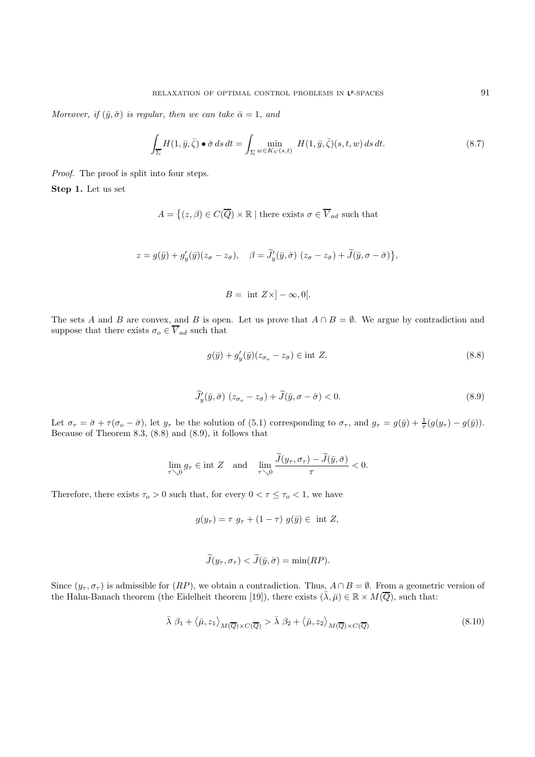Moreover, if  $(\bar{y}, \bar{\sigma})$  is regular, then we can take  $\bar{\alpha} = 1$ , and

$$
\int_{\overline{\Sigma}} H(1,\bar{y},\bar{\zeta}) \bullet \bar{\sigma} ds dt = \int_{\Sigma} \min_{w \in K_V(s,t)} H(1,\bar{y},\bar{\zeta})(s,t,w) ds dt.
$$
\n(8.7)

Proof. The proof is split into four steps.

**Step 1.** Let us set

$$
A = \left\{ (z, \beta) \in C(\overline{Q}) \times \mathbb{R} \mid \text{there exists } \sigma \in \overline{V}_{ad} \text{ such that } \right\}
$$

 $z = g(\bar{y}) + g'_y(\bar{y})(z_\sigma - z_{\bar{\sigma}}), \quad \beta = J'_y(\bar{y}, \bar{\sigma}) (z_\sigma - z_{\bar{\sigma}}) + J(\bar{y}, \sigma - \bar{\sigma})\},$ 

$$
B = \text{ int } Z \times ]-\infty, 0[.
$$

The sets A and B are convex, and B is open. Let us prove that  $A \cap B = \emptyset$ . We argue by contradiction and suppose that there exists  $\sigma_o \in \overline{V}_{ad}$  such that

$$
g(\bar{y}) + g'_y(\bar{y})(z_{\sigma_o} - z_{\bar{\sigma}}) \in \text{int } Z,
$$
\n(8.8)

$$
\widetilde{J}'_y(\bar{y}, \bar{\sigma}) \ (z_{\sigma_o} - z_{\bar{\sigma}}) + \widetilde{J}(\bar{y}, \sigma - \bar{\sigma}) < 0. \tag{8.9}
$$

Let  $\sigma_{\tau} = \bar{\sigma} + \tau(\sigma_o - \bar{\sigma})$ , let  $y_{\tau}$  be the solution of (5.1) corresponding to  $\sigma_{\tau}$ , and  $g_{\tau} = g(\bar{y}) + \frac{1}{\tau}(g(y_{\tau}) - g(\bar{y}))$ . Because of Theorem 8.3, (8.8) and (8.9), it follows that

$$
\lim_{\tau \searrow 0} g_{\tau} \in \text{int } Z \quad \text{and} \quad \lim_{\tau \searrow 0} \frac{\widetilde{J}(y_{\tau}, \sigma_{\tau}) - \widetilde{J}(\bar{y}, \bar{\sigma})}{\tau} < 0.
$$

Therefore, there exists  $\tau_o > 0$  such that, for every  $0 < \tau \leq \tau_o < 1$ , we have

$$
g(y_{\tau}) = \tau \ g_{\tau} + (1 - \tau) \ g(\bar{y}) \in \text{ int } Z,
$$

$$
\widetilde{J}(y_{\tau}, \sigma_{\tau}) < \widetilde{J}(\bar{y}, \bar{\sigma}) = \min(RP).
$$

Since  $(y_\tau, \sigma_\tau)$  is admissible for  $(RP)$ , we obtain a contradiction. Thus,  $A \cap B = \emptyset$ . From a geometric version of the Hahn-Banach theorem (the Eidelheit theorem [19]), there exists  $(\bar{\lambda}, \bar{\mu}) \in \mathbb{R} \times M(\bar{Q})$ , such that:

$$
\bar{\lambda} \beta_1 + \langle \bar{\mu}, z_1 \rangle_{M(\overline{Q}) \times C(\overline{Q})} > \bar{\lambda} \beta_2 + \langle \bar{\mu}, z_2 \rangle_{M(\overline{Q}) \times C(\overline{Q})}
$$
(8.10)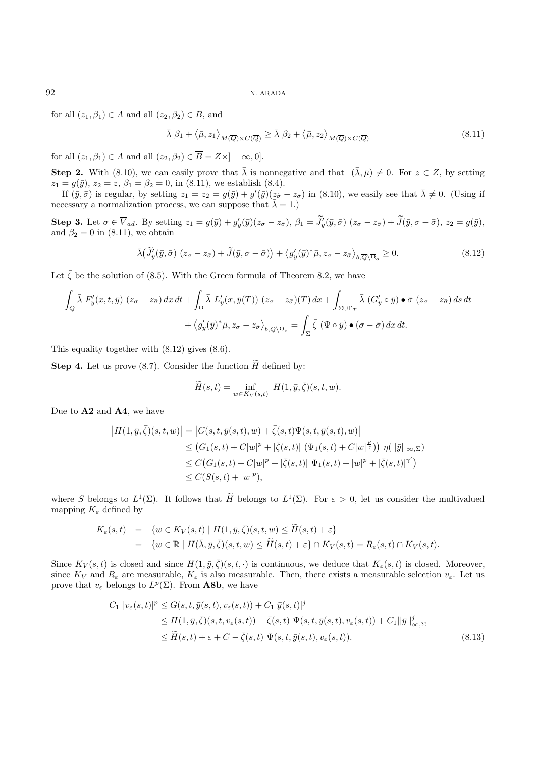for all  $(z_1, \beta_1) \in A$  and all  $(z_2, \beta_2) \in B$ , and

$$
\bar{\lambda} \beta_1 + \langle \bar{\mu}, z_1 \rangle_{M(\overline{Q}) \times C(\overline{Q})} \ge \bar{\lambda} \beta_2 + \langle \bar{\mu}, z_2 \rangle_{M(\overline{Q}) \times C(\overline{Q})}
$$
(8.11)

for all  $(z_1, \beta_1) \in A$  and all  $(z_2, \beta_2) \in \overline{B} = Z \times ]-\infty, 0].$ 

**Step 2.** With (8.10), we can easily prove that  $\bar{\lambda}$  is nonnegative and that  $(\bar{\lambda}, \bar{\mu}) \neq 0$ . For  $z \in Z$ , by setting  $z_1 = g(\bar{y}), z_2 = z, \beta_1 = \beta_2 = 0$ , in (8.11), we establish (8.4).

If  $(\bar{y}, \bar{\sigma})$  is regular, by setting  $z_1 = z_2 = g(\bar{y}) + g'(\bar{y})(z_{\bar{\sigma}} - z_{\bar{\sigma}})$  in (8.10), we easily see that  $\bar{\lambda} \neq 0$ . (Using if necessary a normalization process, we can suppose that  $\bar{\lambda} = 1$ .)

**Step 3.** Let  $\sigma \in V_{ad}$ . By setting  $z_1 = g(\bar{y}) + g'_y(\bar{y})(z_\sigma - z_{\bar{\sigma}}), \ \beta_1 = J'_y(\bar{y}, \bar{\sigma}) \ (z_\sigma - z_{\bar{\sigma}}) + J(\bar{y}, \sigma - \bar{\sigma}), \ z_2 = g(\bar{y}),$ and  $\beta_2 = 0$  in (8.11), we obtain

$$
\bar{\lambda}(\widetilde{J}'_y(\bar{y}, \bar{\sigma}) (z_{\sigma} - z_{\bar{\sigma}}) + \widetilde{J}(\bar{y}, \sigma - \bar{\sigma})) + \langle g'_y(\bar{y})^* \bar{\mu}, z_{\sigma} - z_{\bar{\sigma}} \rangle_{b, \overline{Q} \setminus \overline{\Omega}_o} \ge 0.
$$
\n(8.12)

Let  $\bar{\zeta}$  be the solution of (8.5). With the Green formula of Theorem 8.2, we have

$$
\int_{Q} \bar{\lambda} F'_{y}(x,t,\bar{y}) (z_{\sigma} - z_{\bar{\sigma}}) dx dt + \int_{\Omega} \bar{\lambda} L'_{y}(x,\bar{y}(T)) (z_{\sigma} - z_{\bar{\sigma}})(T) dx + \int_{\Sigma \cup \Gamma_{T}} \bar{\lambda} (G'_{y} \circ \bar{y}) \bullet \bar{\sigma} (z_{\sigma} - z_{\bar{\sigma}}) ds dt + \langle g'_{y}(\bar{y})^{*} \bar{\mu}, z_{\sigma} - z_{\bar{\sigma}} \rangle_{b,\overline{Q} \setminus \overline{\Omega}_{o}} = \int_{\Sigma} \bar{\zeta} (\Psi \circ \bar{y}) \bullet (\sigma - \bar{\sigma}) dx dt.
$$

This equality together with (8.12) gives (8.6).

**Step 4.** Let us prove (8.7). Consider the function  $\widetilde{H}$  defined by:

$$
\widetilde{H}(s,t) = \inf_{w \in K_V(s,t)} H(1,\bar{y},\bar{\zeta})(s,t,w).
$$

Due to **A2** and **A4**, we have

$$
|H(1,\bar{y},\bar{\zeta})(s,t,w)| = |G(s,t,\bar{y}(s,t),w) + \bar{\zeta}(s,t)\Psi(s,t,\bar{y}(s,t),w)|
$$
  
\n
$$
\leq (G_1(s,t) + C|w|^p + |\bar{\zeta}(s,t)| (\Psi_1(s,t) + C|w|^{\frac{p}{\gamma}})) \eta(||\bar{y}||_{\infty,\Sigma})
$$
  
\n
$$
\leq C(G_1(s,t) + C|w|^p + |\bar{\zeta}(s,t)| \Psi_1(s,t) + |w|^p + |\bar{\zeta}(s,t)|^{\gamma'})
$$
  
\n
$$
\leq C(S(s,t) + |w|^p),
$$

where S belongs to  $L^1(\Sigma)$ . It follows that  $\widetilde{H}$  belongs to  $L^1(\Sigma)$ . For  $\varepsilon > 0$ , let us consider the multivalued mapping  $K_{\varepsilon}$  defined by

$$
K_{\varepsilon}(s,t) = \{ w \in K_V(s,t) \mid H(1,\bar{y},\bar{\zeta})(s,t,w) \le \widetilde{H}(s,t) + \varepsilon \}
$$
  
= 
$$
\{ w \in \mathbb{R} \mid H(\bar{\lambda},\bar{y},\bar{\zeta})(s,t,w) \le \widetilde{H}(s,t) + \varepsilon \} \cap K_V(s,t) = R_{\varepsilon}(s,t) \cap K_V(s,t).
$$

Since  $K_V(s,t)$  is closed and since  $H(1,\bar{y},\bar{\zeta})(s,t,\cdot)$  is continuous, we deduce that  $K_{\varepsilon}(s,t)$  is closed. Moreover, since  $K_V$  and  $R_\varepsilon$  are measurable,  $K_\varepsilon$  is also measurable. Then, there exists a measurable selection  $v_\varepsilon$ . Let us prove that  $v_{\varepsilon}$  belongs to  $L^p(\Sigma)$ . From **A8b**, we have

$$
C_1 |v_{\varepsilon}(s,t)|^p \leq G(s,t,\bar{y}(s,t),v_{\varepsilon}(s,t)) + C_1 |\bar{y}(s,t)|^j
$$
  
\n
$$
\leq H(1,\bar{y},\bar{\zeta})(s,t,v_{\varepsilon}(s,t)) - \bar{\zeta}(s,t) \Psi(s,t,\bar{y}(s,t),v_{\varepsilon}(s,t)) + C_1 ||\bar{y}||_{\infty,\Sigma}^j
$$
  
\n
$$
\leq \widetilde{H}(s,t) + \varepsilon + C - \bar{\zeta}(s,t) \Psi(s,t,\bar{y}(s,t),v_{\varepsilon}(s,t)).
$$
\n(8.13)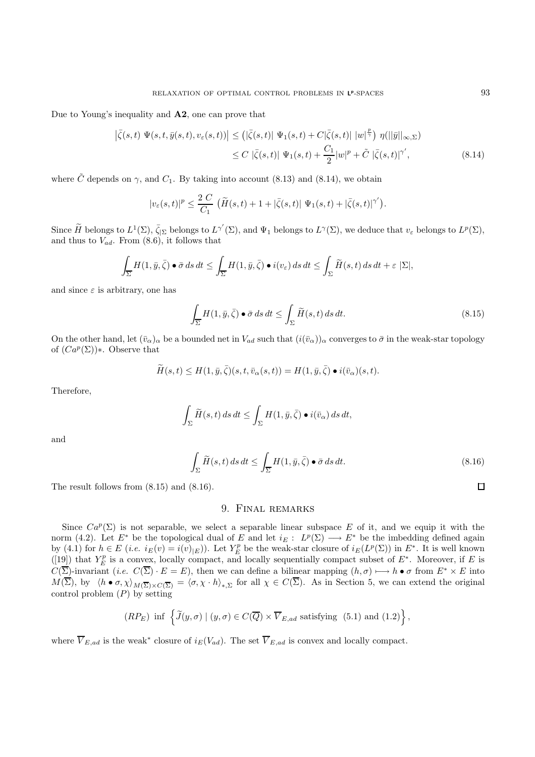Due to Young's inequality and **A2**, one can prove that

$$
\left| \bar{\zeta}(s,t) \ \Psi(s,t,\bar{y}(s,t),v_{\varepsilon}(s,t)) \right| \leq \left( \left| \bar{\zeta}(s,t) \right| \ \Psi_1(s,t) + C \left| \bar{\zeta}(s,t) \right| \ |w|^{\frac{p}{\gamma}} \right) \eta(\|\bar{y}\|_{\infty,\Sigma})
$$
\n
$$
\leq C \ |\bar{\zeta}(s,t)| \ \Psi_1(s,t) + \frac{C_1}{2} |w|^p + \tilde{C} \ |\bar{\zeta}(s,t)|^{\gamma'}, \tag{8.14}
$$

where C depends on  $\gamma$ , and  $C_1$ . By taking into account (8.13) and (8.14), we obtain

$$
|v_{\varepsilon}(s,t)|^{p} \leq \frac{2 C}{C_{1}} \left( \widetilde{H}(s,t) + 1 + |\bar{\zeta}(s,t)| \Psi_{1}(s,t) + |\bar{\zeta}(s,t)|^{\gamma'} \right).
$$

Since  $\widetilde{H}$  belongs to  $L^1(\Sigma)$ ,  $\overline{\zeta}_{|\Sigma}$  belongs to  $L^{\gamma'}(\Sigma)$ , and  $\Psi_1$  belongs to  $L^{\gamma}(\Sigma)$ , we deduce that  $v_{\varepsilon}$  belongs to  $L^p(\Sigma)$ , and thus to  $V_{ad}$ . From  $(8.6)$ , it follows that

$$
\int_{\overline{\Sigma}} H(1, \bar{y}, \bar{\zeta}) \bullet \bar{\sigma} \, ds \, dt \le \int_{\overline{\Sigma}} H(1, \bar{y}, \bar{\zeta}) \bullet i(v_{\varepsilon}) \, ds \, dt \le \int_{\Sigma} \widetilde{H}(s, t) \, ds \, dt + \varepsilon \, |\Sigma|,
$$

and since  $\varepsilon$  is arbitrary, one has

$$
\int_{\overline{\Sigma}} H(1, \bar{y}, \bar{\zeta}) \bullet \bar{\sigma} \, ds \, dt \le \int_{\Sigma} \widetilde{H}(s, t) \, ds \, dt. \tag{8.15}
$$

On the other hand, let  $(\bar{v}_\alpha)_\alpha$  be a bounded net in  $V_{ad}$  such that  $(i(\bar{v}_\alpha))_\alpha$  converges to  $\bar{\sigma}$  in the weak-star topology of  $(Ca^p(\Sigma))$ ∗. Observe that

$$
\widetilde{H}(s,t) \leq H(1,\bar{y},\bar{\zeta})(s,t,\bar{v}_{\alpha}(s,t)) = H(1,\bar{y},\bar{\zeta}) \bullet i(\bar{v}_{\alpha})(s,t).
$$

Therefore,

$$
\int_{\Sigma} \widetilde{H}(s,t) \, ds \, dt \le \int_{\Sigma} H(1,\bar{y},\bar{\zeta}) \bullet i(\bar{v}_{\alpha}) \, ds \, dt,
$$

and

$$
\int_{\Sigma} \widetilde{H}(s,t) \, ds \, dt \le \int_{\overline{\Sigma}} H(1,\bar{y},\bar{\zeta}) \bullet \bar{\sigma} \, ds \, dt. \tag{8.16}
$$

The result follows from (8.15) and (8.16).

## 9. Final remarks

Since  $Ca^p(\Sigma)$  is not separable, we select a separable linear subspace E of it, and we equip it with the norm (4.2). Let  $E^*$  be the topological dual of E and let  $i_E: L^p(\Sigma) \longrightarrow E^*$  be the imbedding defined again by (4.1) for  $h \in E$  (*i.e.*  $i_E(v) = i(v)_{|E}$ ). Let  $Y_E^p$  be the weak-star closure of  $i_E(L^p(\Sigma))$  in  $E^*$ . It is well known ([19]) that  $Y_E^p$  is a convex, locally compact, and locally sequentially compact subset of  $E^*$ . Moreover, if E is  $C(\overline{\Sigma})$ -invariant (i.e.  $C(\overline{\Sigma}) \cdot E = E$ ), then we can define a bilinear mapping  $(h, \sigma) \longmapsto h \bullet \sigma$  from  $E^* \times E$  into  $M(\Sigma)$ , by  $\langle h \bullet \sigma, \chi \rangle_{M(\overline{\Sigma}) \times C(\overline{\Sigma})} = \langle \sigma, \chi \cdot h \rangle_{*,\Sigma}$  for all  $\chi \in C(\Sigma)$ . As in Section 5, we can extend the original control problem  $(P)$  by setting

$$
(RP_E) \inf \left\{ \widetilde{J}(y,\sigma) \mid (y,\sigma) \in C(\overline{Q}) \times \overline{V}_{E,ad} \text{ satisfying } (5.1) \text{ and } (1.2) \right\},\
$$

where  $\overline{V}_{E,ad}$  is the weak<sup>\*</sup> closure of  $i_E(V_{ad})$ . The set  $\overline{V}_{E,ad}$  is convex and locally compact.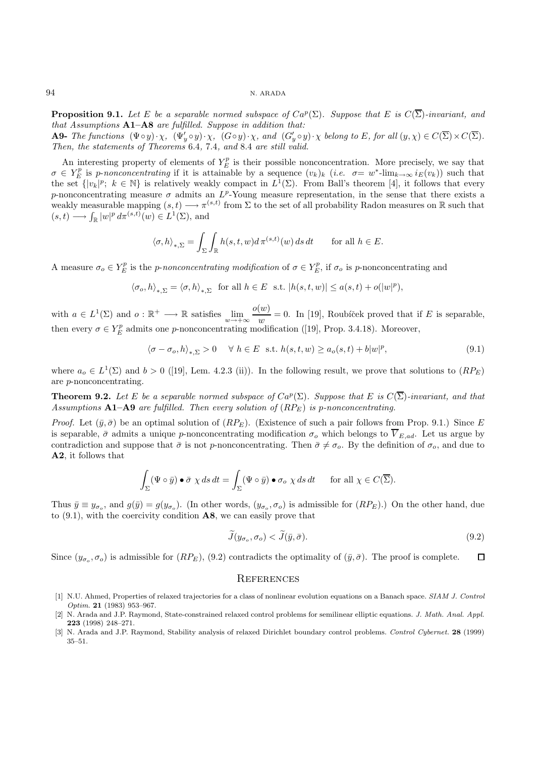**Proposition 9.1.** Let E be a separable normed subspace of  $Ca^p(\Sigma)$ . Suppose that E is  $C(\overline{\Sigma})$ -invariant, and that Assumptions  $A1-A8$  are fulfilled. Suppose in addition that:

**A9-** The functions  $(\Psi \circ y) \cdot \chi$ ,  $(\Psi'_y \circ y) \cdot \chi$ ,  $(G \circ y) \cdot \chi$ , and  $(G'_y \circ y) \cdot \chi$  belong to E, for all  $(y, \chi) \in C(\Sigma) \times C(\Sigma)$ . Then, the statements of Theorems 6.4, 7.4, and 8.4 are still valid.

An interesting property of elements of  $Y_E^p$  is their possible nonconcentration. More precisely, we say that  $\sigma \in Y_E^p$  is p-nonconcentrating if it is attainable by a sequence  $(v_k)_k$  (i.e.  $\sigma = w^*$ -lim $_{k\to\infty}$  i<sub>E</sub> $(v_k)$ ) such that the set  $\{|v_k|^p$ ;  $k \in \mathbb{N}\}$  is relatively weakly compact in  $L^1(\Sigma)$ . From Ball's theorem [4], it follows that every p-nonconcentrating measure  $\sigma$  admits an  $L^p$ -Young measure representation, in the sense that there exists a weakly measurable mapping  $(s, t) \longrightarrow \pi^{(s,t)}$  from  $\Sigma$  to the set of all probability Radon measures on R such that  $(s,t) \longrightarrow \int_{\mathbb{R}} |w|^p d\pi^{(s,t)}(w) \in L^1(\Sigma)$ , and

$$
\langle \sigma, h \rangle_{*,\Sigma} = \int_{\Sigma} \int_{\mathbb{R}} h(s,t,w) d\pi^{(s,t)}(w) ds dt \quad \text{for all } h \in E.
$$

A measure  $\sigma_o \in Y_E^p$  is the *p-nonconcentrating modification* of  $\sigma \in Y_E^p$ , if  $\sigma_o$  is *p*-nonconcentrating and

$$
\langle \sigma_o, h \rangle_{*,\Sigma} = \langle \sigma, h \rangle_{*,\Sigma} \text{ for all } h \in E \text{ s.t. } |h(s,t,w)| \le a(s,t) + o(|w|^p),
$$

with  $a \in L^1(\Sigma)$  and  $o : \mathbb{R}^+ \longrightarrow \mathbb{R}$  satisfies  $\lim_{w \to +\infty} \frac{o(w)}{w} = 0$ . In [19], Roubiček proved that if E is separable, then every  $\sigma \in Y_E^p$  admits one p-nonconcentrating modification ([19], Prop. 3.4.18). Moreover,

$$
\langle \sigma - \sigma_o, h \rangle_{*,\Sigma} > 0 \quad \forall \ h \in E \ \text{s.t.} \ h(s,t,w) \ge a_o(s,t) + b|w|^p, \tag{9.1}
$$

where  $a_0 \in L^1(\Sigma)$  and  $b > 0$  ([19], Lem. 4.2.3 (ii)). In the following result, we prove that solutions to  $(RP_E)$ are p-nonconcentrating.

**Theorem 9.2.** Let E be a separable normed subspace of  $Ca^p(\Sigma)$ . Suppose that E is  $C(\overline{\Sigma})$ -invariant, and that Assumptions  $A1-A9$  are fulfilled. Then every solution of  $(RP<sub>E</sub>)$  is p-nonconcentrating.

*Proof.* Let  $(\bar{y}, \bar{\sigma})$  be an optimal solution of  $(RP_E)$ . (Existence of such a pair follows from Prop. 9.1.) Since E is separable,  $\bar{\sigma}$  admits a unique p-nonconcentrating modification  $\sigma_o$  which belongs to  $\overline{V}_{E,ad}$ . Let us argue by contradiction and suppose that  $\bar{\sigma}$  is not p-nonconcentrating. Then  $\bar{\sigma} \neq \sigma_o$ . By the definition of  $\sigma_o$ , and due to **A2**, it follows that

$$
\int_{\Sigma} (\Psi \circ \bar{y}) \bullet \bar{\sigma} \chi ds dt = \int_{\Sigma} (\Psi \circ \bar{y}) \bullet \sigma_o \chi ds dt \quad \text{for all } \chi \in C(\overline{\Sigma}).
$$

Thus  $\bar{y} \equiv y_{\sigma_o}$ , and  $g(\bar{y}) = g(y_{\sigma_o})$ . (In other words,  $(y_{\sigma_o}, \sigma_o)$  is admissible for  $(RP_E)$ .) On the other hand, due to (9.1), with the coercivity condition **A8**, we can easily prove that

$$
\widetilde{J}(y_{\sigma_o}, \sigma_o) < \widetilde{J}(\bar{y}, \bar{\sigma}).\tag{9.2}
$$

Since  $(y_{\sigma_0}, \sigma_0)$  is admissible for  $(RP_E)$ , (9.2) contradicts the optimality of  $(\bar{y}, \bar{\sigma})$ . The proof is complete.  $\Box$ 

#### **REFERENCES**

- [1] N.U. Ahmed, Properties of relaxed trajectories for a class of nonlinear evolution equations on a Banach space. SIAM J. Control Optim. **21** (1983) 953–967.
- [2] N. Arada and J.P. Raymond, State-constrained relaxed control problems for semilinear elliptic equations. J. Math. Anal. Appl. **223** (1998) 248–271.
- [3] N. Arada and J.P. Raymond, Stability analysis of relaxed Dirichlet boundary control problems. Control Cybernet. **28** (1999) 35–51.